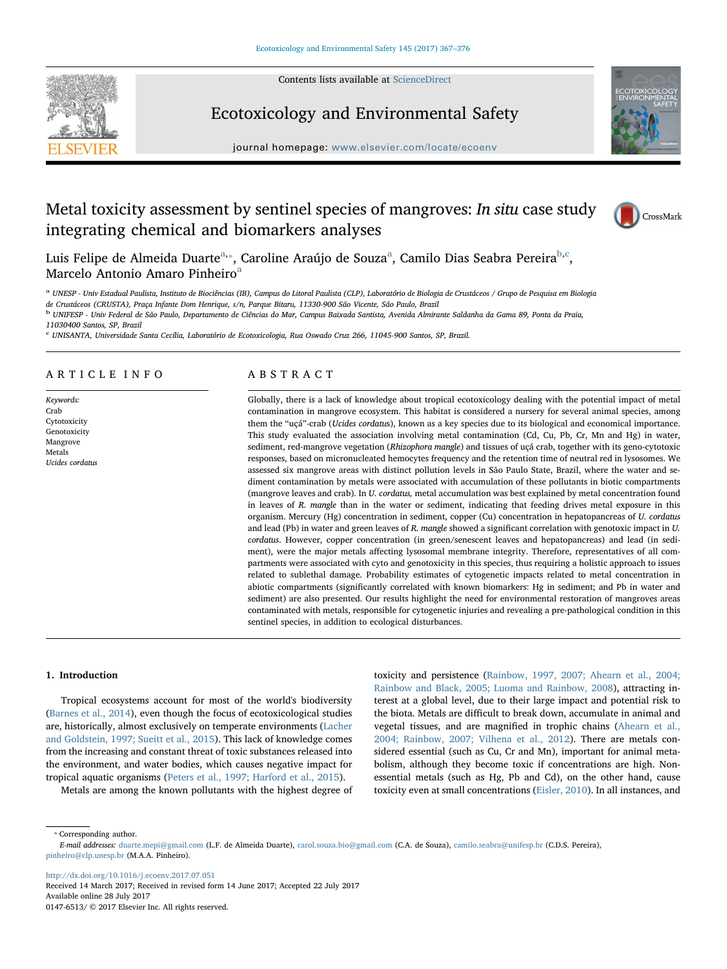Contents lists available at [ScienceDirect](http://www.sciencedirect.com/science/journal/01476513)



# Ecotoxicology and Environmental Safety



journal homepage: [www.elsevier.com/locate/ecoenv](http://www.elsevier.com/locate/ecoenv)

# Metal toxicity assessment by sentinel species of mangroves: In situ case study integrating chemical and biomarkers analyses



Luis Felipe de Almeida Duarte<sup>[a,](#page-0-0)</sup>\*, C[a](#page-0-0)roline Araújo de Souza<sup>a</sup>, Camilo Dias Seabra Pereira<sup>b,[c](#page-0-3)</sup>, M[a](#page-0-0)rcelo Antonio Amaro Pinheiro<sup>a</sup>

<span id="page-0-0"></span><sup>a</sup> UNESP - Univ Estadual Paulista, Instituto de Biociências (IB), Campus do Litoral Paulista (CLP), Laboratório de Biologia de Crustáceos / Grupo de Pesquisa em Biologia<br>de Crustáceos (CRUSTA), Praça Infante Dom Henrique,

<span id="page-0-2"></span><sup>b</sup> UNIFESP - Univ Federal de São Paulo, Departamento de Ciências do Mar, Campus Baixada Santista, Avenida Almirante Saldanha da Gama 89, Ponta da Praia,

11030400 Santos, SP, Brazil

<span id="page-0-3"></span><sup>c</sup> UNISANTA, Universidade Santa Cecília, Laboratório de Ecotoxicologia, Rua Oswado Cruz 266, 11045-900 Santos, SP, Brazil.

## ARTICLE INFO

Keywords: Crab **Cytotoxicity** Genotoxicity Mangrove Metals Ucides cordatus

# ABSTRACT

Globally, there is a lack of knowledge about tropical ecotoxicology dealing with the potential impact of metal contamination in mangrove ecosystem. This habitat is considered a nursery for several animal species, among them the "uçá"-crab (Ucides cordatus), known as a key species due to its biological and economical importance. This study evaluated the association involving metal contamination (Cd, Cu, Pb, Cr, Mn and Hg) in water, sediment, red-mangrove vegetation (Rhizophora mangle) and tissues of uçá crab, together with its geno-cytotoxic responses, based on micronucleated hemocytes frequency and the retention time of neutral red in lysosomes. We assessed six mangrove areas with distinct pollution levels in São Paulo State, Brazil, where the water and sediment contamination by metals were associated with accumulation of these pollutants in biotic compartments (mangrove leaves and crab). In U. cordatus, metal accumulation was best explained by metal concentration found in leaves of R. mangle than in the water or sediment, indicating that feeding drives metal exposure in this organism. Mercury (Hg) concentration in sediment, copper (Cu) concentration in hepatopancreas of U. cordatus and lead (Pb) in water and green leaves of R. mangle showed a significant correlation with genotoxic impact in U. cordatus. However, copper concentration (in green/senescent leaves and hepatopancreas) and lead (in sediment), were the major metals affecting lysosomal membrane integrity. Therefore, representatives of all compartments were associated with cyto and genotoxicity in this species, thus requiring a holistic approach to issues related to sublethal damage. Probability estimates of cytogenetic impacts related to metal concentration in abiotic compartments (significantly correlated with known biomarkers: Hg in sediment; and Pb in water and sediment) are also presented. Our results highlight the need for environmental restoration of mangroves areas contaminated with metals, responsible for cytogenetic injuries and revealing a pre-pathological condition in this sentinel species, in addition to ecological disturbances.

#### 1. Introduction

Tropical ecosystems account for most of the world's biodiversity ([Barnes et al., 2014\)](#page-7-0), even though the focus of ecotoxicological studies are, historically, almost exclusively on temperate environments [\(Lacher](#page-8-0) [and Goldstein, 1997; Sueitt et al., 2015\)](#page-8-0). This lack of knowledge comes from the increasing and constant threat of toxic substances released into the environment, and water bodies, which causes negative impact for tropical aquatic organisms [\(Peters et al., 1997; Harford et al., 2015](#page-8-1)).

Metals are among the known pollutants with the highest degree of

toxicity and persistence [\(Rainbow, 1997, 2007; Ahearn et al., 2004;](#page-8-2) [Rainbow and Black, 2005; Luoma and Rainbow, 2008\)](#page-8-2), attracting interest at a global level, due to their large impact and potential risk to the biota. Metals are difficult to break down, accumulate in animal and vegetal tissues, and are magnified in trophic chains ([Ahearn et al.,](#page-7-1) [2004; Rainbow, 2007; Vilhena et al., 2012\)](#page-7-1). There are metals considered essential (such as Cu, Cr and Mn), important for animal metabolism, although they become toxic if concentrations are high. Nonessential metals (such as Hg, Pb and Cd), on the other hand, cause toxicity even at small concentrations ([Eisler, 2010](#page-7-2)). In all instances, and

<span id="page-0-1"></span>⁎ Corresponding author.

E-mail addresses: [duarte.mepi@gmail.com](mailto:duarte.mepi@gmail.com) (L.F. de Almeida Duarte), [carol.souza.bio@gmail.com](mailto:carol.souza.bio@gmail.com) (C.A. de Souza), [camilo.seabra@unifesp.br](mailto:camilo.seabra@unifesp.br) (C.D.S. Pereira), [pinheiro@clp.unesp.br](mailto:pinheiro@clp.unesp.br) (M.A.A. Pinheiro).

<http://dx.doi.org/10.1016/j.ecoenv.2017.07.051> Received 14 March 2017; Received in revised form 14 June 2017; Accepted 22 July 2017 Available online 28 July 2017

0147-6513/ © 2017 Elsevier Inc. All rights reserved.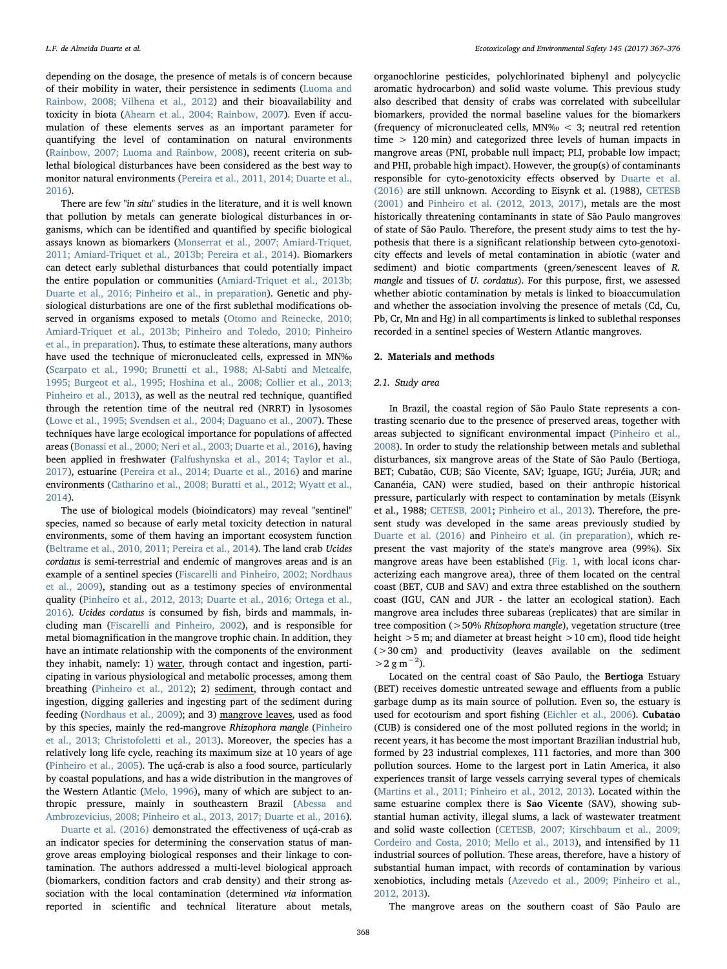depending on the dosage, the presence of metals is of concern because of their mobility in water, their persistence in sediments ([Luoma and](#page-8-3) [Rainbow, 2008; Vilhena et al., 2012\)](#page-8-3) and their bioavailability and toxicity in biota ([Ahearn et al., 2004; Rainbow, 2007\)](#page-7-1). Even if accumulation of these elements serves as an important parameter for quantifying the level of contamination on natural environments ([Rainbow, 2007; Luoma and Rainbow, 2008](#page-8-4)), recent criteria on sublethal biological disturbances have been considered as the best way to monitor natural environments ([Pereira et al., 2011, 2014; Duarte et al.,](#page-8-5) [2016\)](#page-8-5).

There are few "in situ" studies in the literature, and it is well known that pollution by metals can generate biological disturbances in organisms, which can be identified and quantified by specific biological assays known as biomarkers ([Monserrat et al., 2007; Amiard-Triquet,](#page-8-6) [2011; Amiard-Triquet et al., 2013b; Pereira et al., 2014](#page-8-6)). Biomarkers can detect early sublethal disturbances that could potentially impact the entire population or communities [\(Amiard-Triquet et al., 2013b;](#page-7-3) [Duarte et al., 2016; Pinheiro et al., in preparation\)](#page-7-3). Genetic and physiological disturbations are one of the first sublethal modifications observed in organisms exposed to metals [\(Otomo and Reinecke, 2010;](#page-7-3) [Amiard-Triquet et al., 2013b; Pinheiro and Toledo, 2010; Pinheiro](#page-7-3) [et al., in preparation](#page-7-3)). Thus, to estimate these alterations, many authors have used the technique of micronucleated cells, expressed in MN‰ ([Scarpato et al., 1990; Brunetti et al., 1988; Al-Sabti and Metcalfe,](#page-8-7) [1995; Burgeot et al., 1995; Hoshina et al., 2008; Collier et al., 2013;](#page-8-7) [Pinheiro et al., 2013](#page-8-7)), as well as the neutral red technique, quantified through the retention time of the neutral red (NRRT) in lysosomes ([Lowe et al., 1995; Svendsen et al., 2004; Daguano et al., 2007\)](#page-8-8). These techniques have large ecological importance for populations of affected areas ([Bonassi et al., 2000; Neri et al., 2003; Duarte et al., 2016\)](#page-7-4), having been applied in freshwater ([Falfushynska et al., 2014; Taylor et al.,](#page-7-5) [2017\)](#page-7-5), estuarine [\(Pereira et al., 2014; Duarte et al., 2016](#page-8-9)) and marine environments [\(Catharino et al., 2008; Buratti et al., 2012; Wyatt et al.,](#page-7-6) [2014\)](#page-7-6).

The use of biological models (bioindicators) may reveal "sentinel" species, named so because of early metal toxicity detection in natural environments, some of them having an important ecosystem function ([Beltrame et al., 2010, 2011; Pereira et al., 2014\)](#page-7-7). The land crab Ucides cordatus is semi-terrestrial and endemic of mangroves areas and is an example of a sentinel species ([Fiscarelli and Pinheiro, 2002; Nordhaus](#page-7-8) [et al., 2009](#page-7-8)), standing out as a testimony species of environmental quality [\(Pinheiro et al., 2012, 2013; Duarte et al., 2016; Ortega et al.,](#page-8-10) [2016\)](#page-8-10). Ucides cordatus is consumed by fish, birds and mammals, including man ([Fiscarelli and Pinheiro, 2002](#page-7-8)), and is responsible for metal biomagnification in the mangrove trophic chain. In addition, they have an intimate relationship with the components of the environment they inhabit, namely: 1) water, through contact and ingestion, participating in various physiological and metabolic processes, among them breathing [\(Pinheiro et al., 2012](#page-8-10)); 2) sediment, through contact and ingestion, digging galleries and ingesting part of the sediment during feeding [\(Nordhaus et al., 2009\)](#page-8-11); and 3) mangrove leaves, used as food by this species, mainly the red-mangrove Rhizophora mangle ([Pinheiro](#page-8-12) [et al., 2013; Christofoletti et al., 2013](#page-8-12)). Moreover, the species has a relatively long life cycle, reaching its maximum size at 10 years of age ([Pinheiro et al., 2005\)](#page-8-13). The uçá-crab is also a food source, particularly by coastal populations, and has a wide distribution in the mangroves of the Western Atlantic [\(Melo, 1996\)](#page-8-14), many of which are subject to anthropic pressure, mainly in southeastern Brazil [\(Abessa and](#page-7-9) [Ambrozevicius, 2008; Pinheiro et al., 2013, 2017; Duarte et al., 2016](#page-7-9)).

[Duarte et al. \(2016\)](#page-7-10) demonstrated the effectiveness of uçá-crab as an indicator species for determining the conservation status of mangrove areas employing biological responses and their linkage to contamination. The authors addressed a multi-level biological approach (biomarkers, condition factors and crab density) and their strong association with the local contamination (determined via information reported in scientific and technical literature about metals,

organochlorine pesticides, polychlorinated biphenyl and polycyclic aromatic hydrocarbon) and solid waste volume. This previous study also described that density of crabs was correlated with subcellular biomarkers, provided the normal baseline values for the biomarkers (frequency of micronucleated cells, MN‰ < 3; neutral red retention time > 120 min) and categorized three levels of human impacts in mangrove areas (PNI, probable null impact; PLI, probable low impact; and PHI, probable high impact). However, the group(s) of contaminants responsible for cyto-genotoxicity effects observed by [Duarte et al.](#page-7-10) [\(2016\)](#page-7-10) are still unknown. According to Eisynk et al. (1988), [CETESB](#page-7-11) [\(2001\)](#page-7-11) and [Pinheiro et al. \(2012, 2013, 2017\),](#page-8-10) metals are the most historically threatening contaminants in state of São Paulo mangroves of state of São Paulo. Therefore, the present study aims to test the hypothesis that there is a significant relationship between cyto-genotoxicity effects and levels of metal contamination in abiotic (water and sediment) and biotic compartments (green/senescent leaves of R. mangle and tissues of U. cordatus). For this purpose, first, we assessed whether abiotic contamination by metals is linked to bioaccumulation and whether the association involving the presence of metals (Cd, Cu, Pb, Cr, Mn and Hg) in all compartiments is linked to sublethal responses recorded in a sentinel species of Western Atlantic mangroves.

#### 2. Materials and methods

#### 2.1. Study area

In Brazil, the coastal region of São Paulo State represents a contrasting scenario due to the presence of preserved areas, together with areas subjected to significant environmental impact ([Pinheiro et al.,](#page-8-15) [2008\)](#page-8-15). In order to study the relationship between metals and sublethal disturbances, six mangrove areas of the State of São Paulo (Bertioga, BET; Cubatão, CUB; São Vicente, SAV; Iguape, IGU; Juréia, JUR; and Cananéia, CAN) were studied, based on their anthropic historical pressure, particularly with respect to contamination by metals (Eisynk et al., 1988; [CETESB, 2001;](#page-7-11) Pinheiro [et al., 2013](#page-8-12)). Therefore, the present study was developed in the same areas previously studied by [Duarte et al. \(2016\)](#page-7-10) and [Pinheiro et al. \(in preparation\),](#page-8-16) which represent the vast majority of the state's mangrove area (99%). Six mangrove areas have been established [\(Fig. 1](#page-2-0), with local icons characterizing each mangrove area), three of them located on the central coast (BET, CUB and SAV) and extra three established on the southern coast (IGU, CAN and JUR - the latter an ecological station). Each mangrove area includes three subareas (replicates) that are similar in tree composition (>50% Rhizophora mangle), vegetation structure (tree height >5 m; and diameter at breast height >10 cm), flood tide height (>30 cm) and productivity (leaves available on the sediment  $>$  2 g m<sup>-2</sup>).

Located on the central coast of São Paulo, the Bertioga Estuary (BET) receives domestic untreated sewage and effluents from a public garbage dump as its main source of pollution. Even so, the estuary is used for ecotourism and sport fishing [\(Eichler et al., 2006](#page-7-12)). Cubatao (CUB) is considered one of the most polluted regions in the world; in recent years, it has become the most important Brazilian industrial hub, formed by 23 industrial complexes, 111 factories, and more than 300 pollution sources. Home to the largest port in Latin America, it also experiences transit of large vessels carrying several types of chemicals ([Martins et al., 2011; Pinheiro et al., 2012, 2013](#page-8-17)). Located within the same estuarine complex there is Sao Vicente (SAV), showing substantial human activity, illegal slums, a lack of wastewater treatment and solid waste collection ([CETESB, 2007; Kirschbaum et al., 2009;](#page-7-13) [Cordeiro and Costa, 2010; Mello et al., 2013](#page-7-13)), and intensified by 11 industrial sources of pollution. These areas, therefore, have a history of substantial human impact, with records of contamination by various xenobiotics, including metals ([Azevedo et al., 2009; Pinheiro et al.,](#page-7-14) [2012, 2013](#page-7-14)).

The mangrove areas on the southern coast of São Paulo are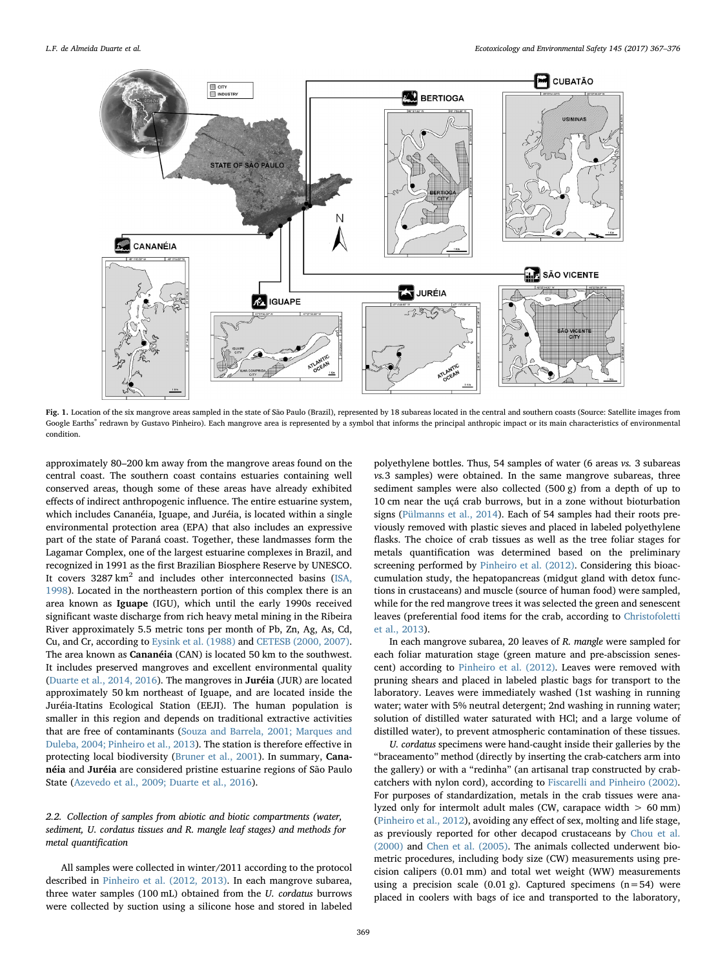<span id="page-2-0"></span>

Fig. 1. Location of the six mangrove areas sampled in the state of São Paulo (Brazil), represented by 18 subareas located in the central and southern coasts (Source: Satellite images from Google Earths® redrawn by Gustavo Pinheiro). Each mangrove area is represented by a symbol that informs the principal anthropic impact or its main characteristics of environmental condition.

approximately 80–200 km away from the mangrove areas found on the central coast. The southern coast contains estuaries containing well conserved areas, though some of these areas have already exhibited effects of indirect anthropogenic influence. The entire estuarine system, which includes Cananéia, Iguape, and Juréia, is located within a single environmental protection area (EPA) that also includes an expressive part of the state of Paraná coast. Together, these landmasses form the Lagamar Complex, one of the largest estuarine complexes in Brazil, and recognized in 1991 as the first Brazilian Biosphere Reserve by UNESCO. It covers  $3287 \text{ km}^2$  and includes other interconnected basins [\(ISA,](#page-8-18) [1998\)](#page-8-18). Located in the northeastern portion of this complex there is an area known as Iguape (IGU), which until the early 1990s received significant waste discharge from rich heavy metal mining in the Ribeira River approximately 5.5 metric tons per month of Pb, Zn, Ag, As, Cd, Cu, and Cr, according to [Eysink et al. \(1988\)](#page-7-15) and [CETESB \(2000, 2007\)](#page-7-16). The area known as Cananéia (CAN) is located 50 km to the southwest. It includes preserved mangroves and excellent environmental quality ([Duarte et al., 2014, 2016\)](#page-7-17). The mangroves in Juréia (JUR) are located approximately 50 km northeast of Iguape, and are located inside the Juréia-Itatins Ecological Station (EEJI). The human population is smaller in this region and depends on traditional extractive activities that are free of contaminants ([Souza and Barrela, 2001; Marques and](#page-8-19) [Duleba, 2004; Pinheiro et al., 2013\)](#page-8-19). The station is therefore effective in protecting local biodiversity ([Bruner et al., 2001\)](#page-7-18). In summary, Cananéia and Juréia are considered pristine estuarine regions of São Paulo State ([Azevedo et al., 2009; Duarte et al., 2016](#page-7-14)).

# 2.2. Collection of samples from abiotic and biotic compartments (water, sediment, U. cordatus tissues and R. mangle leaf stages) and methods for metal quantification

All samples were collected in winter/2011 according to the protocol described in [Pinheiro et al. \(2012, 2013\)](#page-8-10). In each mangrove subarea, three water samples (100 mL) obtained from the U. cordatus burrows were collected by suction using a silicone hose and stored in labeled polyethylene bottles. Thus, 54 samples of water (6 areas vs. 3 subareas vs.3 samples) were obtained. In the same mangrove subareas, three sediment samples were also collected (500 g) from a depth of up to 10 cm near the uçá crab burrows, but in a zone without bioturbation signs ([Pülmanns et al., 2014](#page-8-20)). Each of 54 samples had their roots previously removed with plastic sieves and placed in labeled polyethylene flasks. The choice of crab tissues as well as the tree foliar stages for metals quantification was determined based on the preliminary screening performed by [Pinheiro et al. \(2012\).](#page-8-10) Considering this bioaccumulation study, the hepatopancreas (midgut gland with detox functions in crustaceans) and muscle (source of human food) were sampled, while for the red mangrove trees it was selected the green and senescent leaves (preferential food items for the crab, according to [Christofoletti](#page-7-19) [et al., 2013](#page-7-19)).

In each mangrove subarea, 20 leaves of R. mangle were sampled for each foliar maturation stage (green mature and pre-abscission senescent) according to [Pinheiro et al. \(2012\).](#page-8-10) Leaves were removed with pruning shears and placed in labeled plastic bags for transport to the laboratory. Leaves were immediately washed (1st washing in running water; water with 5% neutral detergent; 2nd washing in running water; solution of distilled water saturated with HCl; and a large volume of distilled water), to prevent atmospheric contamination of these tissues.

U. cordatus specimens were hand-caught inside their galleries by the "braceamento" method (directly by inserting the crab-catchers arm into the gallery) or with a "redinha" (an artisanal trap constructed by crabcatchers with nylon cord), according to [Fiscarelli and Pinheiro \(2002\)](#page-7-8). For purposes of standardization, metals in the crab tissues were analyzed only for intermolt adult males (CW, carapace width  $> 60$  mm) ([Pinheiro et al., 2012\)](#page-8-10), avoiding any effect of sex, molting and life stage, as previously reported for other decapod crustaceans by [Chou et al.](#page-7-20) [\(2000\)](#page-7-20) and [Chen et al. \(2005\)](#page-7-21). The animals collected underwent biometric procedures, including body size (CW) measurements using precision calipers (0.01 mm) and total wet weight (WW) measurements using a precision scale (0.01 g). Captured specimens  $(n=54)$  were placed in coolers with bags of ice and transported to the laboratory,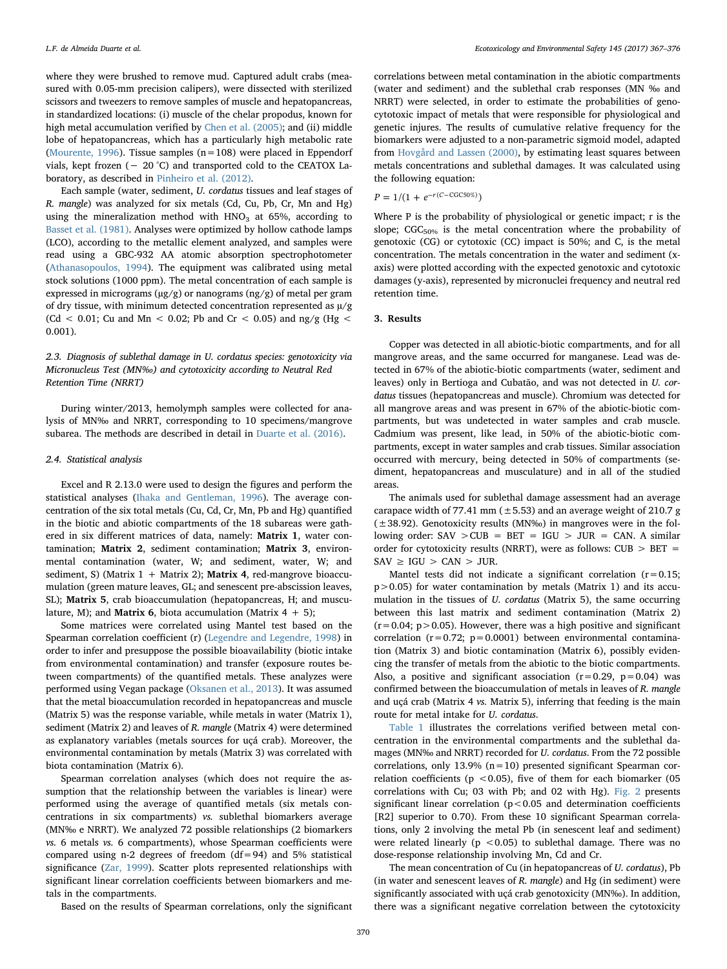where they were brushed to remove mud. Captured adult crabs (measured with 0.05-mm precision calipers), were dissected with sterilized scissors and tweezers to remove samples of muscle and hepatopancreas, in standardized locations: (i) muscle of the chelar propodus, known for high metal accumulation verified by [Chen et al. \(2005\)](#page-7-21); and (ii) middle lobe of hepatopancreas, which has a particularly high metabolic rate ([Mourente, 1996\)](#page-8-21). Tissue samples  $(n=108)$  were placed in Eppendorf vials, kept frozen (− 20 °C) and transported cold to the CEATOX Laboratory, as described in [Pinheiro et al. \(2012\).](#page-8-10)

Each sample (water, sediment, U. cordatus tissues and leaf stages of R. mangle) was analyzed for six metals (Cd, Cu, Pb, Cr, Mn and Hg) using the mineralization method with  $HNO<sub>3</sub>$  at 65%, according to [Basset et al. \(1981\).](#page-7-22) Analyses were optimized by hollow cathode lamps (LCO), according to the metallic element analyzed, and samples were read using a GBC-932 AA atomic absorption spectrophotometer ([Athanasopoulos, 1994\)](#page-7-23). The equipment was calibrated using metal stock solutions (1000 ppm). The metal concentration of each sample is expressed in micrograms ( $\mu$ g/g) or nanograms ( $\mu$ g/g) of metal per gram of dry tissue, with minimum detected concentration represented as  $\mu$ /g (Cd < 0.01; Cu and Mn < 0.02; Pb and Cr < 0.05) and ng/g (Hg < 0.001).

# 2.3. Diagnosis of sublethal damage in U. cordatus species: genotoxicity via Micronucleus Test (MN‰) and cytotoxicity according to Neutral Red Retention Time (NRRT)

During winter/2013, hemolymph samples were collected for analysis of MN‰ and NRRT, corresponding to 10 specimens/mangrove subarea. The methods are described in detail in [Duarte et al. \(2016\)](#page-7-10).

#### 2.4. Statistical analysis

Excel and R 2.13.0 were used to design the figures and perform the statistical analyses ([Ihaka and Gentleman, 1996](#page-8-22)). The average concentration of the six total metals (Cu, Cd, Cr, Mn, Pb and Hg) quantified in the biotic and abiotic compartments of the 18 subareas were gathered in six different matrices of data, namely: Matrix 1, water contamination; Matrix 2, sediment contamination; Matrix 3, environmental contamination (water, W; and sediment, water, W; and sediment, S) (Matrix  $1 +$  Matrix 2); **Matrix 4**, red-mangrove bioaccumulation (green mature leaves, GL; and senescent pre-abscission leaves, SL); Matrix 5, crab bioaccumulation (hepatopancreas, H; and musculature, M); and **Matrix 6**, biota accumulation (Matrix  $4 + 5$ );

Some matrices were correlated using Mantel test based on the Spearman correlation coefficient (r) ([Legendre and Legendre, 1998](#page-8-23)) in order to infer and presuppose the possible bioavailability (biotic intake from environmental contamination) and transfer (exposure routes between compartments) of the quantified metals. These analyzes were performed using Vegan package ([Oksanen et al., 2013\)](#page-8-24). It was assumed that the metal bioaccumulation recorded in hepatopancreas and muscle (Matrix 5) was the response variable, while metals in water (Matrix 1), sediment (Matrix 2) and leaves of R. mangle (Matrix 4) were determined as explanatory variables (metals sources for uçá crab). Moreover, the environmental contamination by metals (Matrix 3) was correlated with biota contamination (Matrix 6).

Spearman correlation analyses (which does not require the assumption that the relationship between the variables is linear) were performed using the average of quantified metals (six metals concentrations in six compartments) vs. sublethal biomarkers average (MN‰ e NRRT). We analyzed 72 possible relationships (2 biomarkers vs. 6 metals vs. 6 compartments), whose Spearman coefficients were compared using n-2 degrees of freedom  $(df=94)$  and 5% statistical significance ([Zar, 1999](#page-9-0)). Scatter plots represented relationships with significant linear correlation coefficients between biomarkers and metals in the compartments.

correlations between metal contamination in the abiotic compartments (water and sediment) and the sublethal crab responses (MN ‰ and NRRT) were selected, in order to estimate the probabilities of genocytotoxic impact of metals that were responsible for physiological and genetic injures. The results of cumulative relative frequency for the biomarkers were adjusted to a non-parametric sigmoid model, adapted from [Hovgård and Lassen \(2000\)](#page-8-25), by estimating least squares between metals concentrations and sublethal damages. It was calculated using the following equation:

 $P = 1/(1 + e^{-r(C - CGC50\%)})$ 

Where P is the probability of physiological or genetic impact; r is the slope;  $CGC_{50\%}$  is the metal concentration where the probability of genotoxic (CG) or cytotoxic (CC) impact is 50%; and C, is the metal concentration. The metals concentration in the water and sediment (xaxis) were plotted according with the expected genotoxic and cytotoxic damages (y-axis), represented by micronuclei frequency and neutral red retention time.

#### 3. Results

Copper was detected in all abiotic-biotic compartments, and for all mangrove areas, and the same occurred for manganese. Lead was detected in 67% of the abiotic-biotic compartments (water, sediment and leaves) only in Bertioga and Cubatão, and was not detected in U. cordatus tissues (hepatopancreas and muscle). Chromium was detected for all mangrove areas and was present in 67% of the abiotic-biotic compartments, but was undetected in water samples and crab muscle. Cadmium was present, like lead, in 50% of the abiotic-biotic compartments, except in water samples and crab tissues. Similar association occurred with mercury, being detected in 50% of compartments (sediment, hepatopancreas and musculature) and in all of the studied areas.

The animals used for sublethal damage assessment had an average carapace width of 77.41 mm  $(\pm 5.53)$  and an average weight of 210.7 g  $(\pm 38.92)$ . Genotoxicity results (MN‰) in mangroves were in the following order:  $SAV > CUB = BET = IGU > JUR = CAN$ . A similar order for cytotoxicity results (NRRT), were as follows:  $CUB > BET$  =  $SAV \geq IGU > CAN > JUR$ .

Mantel tests did not indicate a significant correlation  $(r=0.15;$  $p > 0.05$ ) for water contamination by metals (Matrix 1) and its accumulation in the tissues of U. cordatus (Matrix 5), the same occurring between this last matrix and sediment contamination (Matrix 2)  $(r=0.04; p>0.05)$ . However, there was a high positive and significant correlation ( $r=0.72$ ;  $p=0.0001$ ) between environmental contamination (Matrix 3) and biotic contamination (Matrix 6), possibly evidencing the transfer of metals from the abiotic to the biotic compartments. Also, a positive and significant association  $(r=0.29, p=0.04)$  was confirmed between the bioaccumulation of metals in leaves of R. mangle and uçá crab (Matrix 4 vs. Matrix 5), inferring that feeding is the main route for metal intake for U. cordatus.

[Table 1](#page-4-0) illustrates the correlations verified between metal concentration in the environmental compartments and the sublethal damages (MN‰ and NRRT) recorded for U. cordatus. From the 72 possible correlations, only 13.9%  $(n=10)$  presented significant Spearman correlation coefficients ( $p < 0.05$ ), five of them for each biomarker (05 correlations with Cu; 03 with Pb; and 02 with Hg). [Fig. 2](#page-4-1) presents significant linear correlation ( $p < 0.05$  and determination coefficients [R2] superior to 0.70). From these 10 significant Spearman correlations, only 2 involving the metal Pb (in senescent leaf and sediment) were related linearly ( $p < 0.05$ ) to sublethal damage. There was no dose-response relationship involving Mn, Cd and Cr.

The mean concentration of Cu (in hepatopancreas of U. cordatus), Pb (in water and senescent leaves of R. mangle) and Hg (in sediment) were significantly associated with uçá crab genotoxicity (MN‰). In addition, there was a significant negative correlation between the cytotoxicity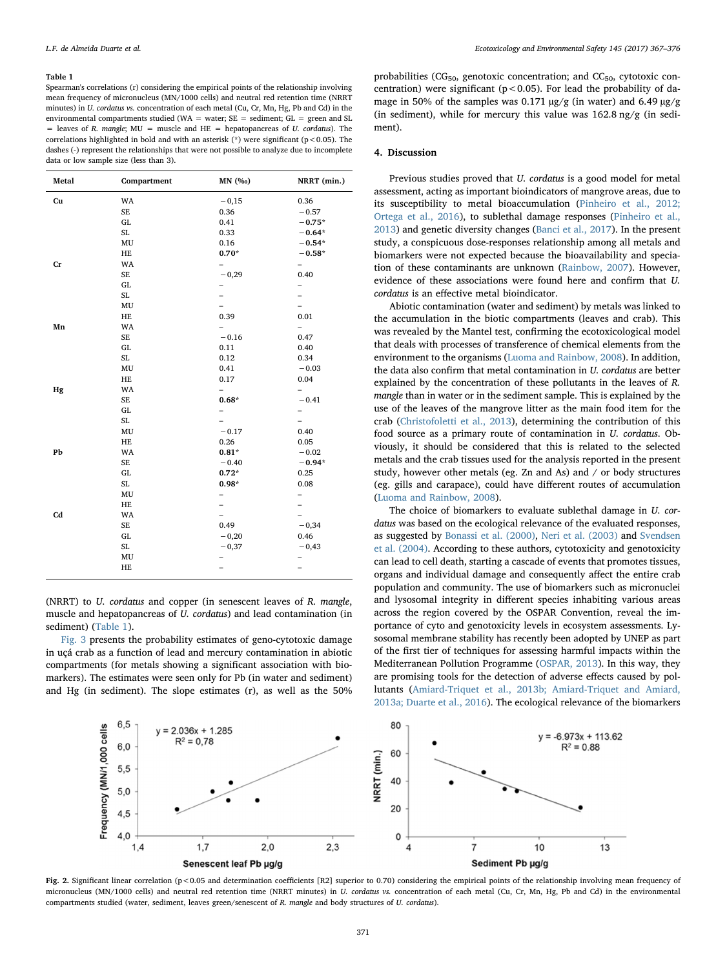#### <span id="page-4-0"></span>Table 1

Spearman's correlations (r) considering the empirical points of the relationship involving mean frequency of micronucleus (MN/1000 cells) and neutral red retention time (NRRT minutes) in U. cordatus vs. concentration of each metal (Cu, Cr, Mn, Hg, Pb and Cd) in the environmental compartments studied (WA = water; SE = sediment; GL = green and SL  $=$  leaves of R. mangle; MU  $=$  muscle and HE  $=$  hepatopancreas of U. cordatus). The correlations highlighted in bold and with an asterisk  $(*)$  were significant (p < 0.05). The dashes (-) represent the relationships that were not possible to analyze due to incomplete data or low sample size (less than 3).

| Metal       | Compartment            | MN (%0)                  | NRRT (min.)              |
|-------------|------------------------|--------------------------|--------------------------|
| Cu          | WA                     | $-0,15$                  | 0.36                     |
|             | SE                     | 0.36                     | $-0.57$                  |
|             | GL                     | 0.41                     | $-0.75*$                 |
|             | SL                     | 0.33                     | $-0.64*$                 |
|             | MU                     | 0.16                     | $-0.54*$                 |
|             | HE                     | $0.70*$                  | $-0.58*$                 |
| $_{\rm Cr}$ | WA                     |                          |                          |
|             | SE                     | $-0,29$                  | 0.40                     |
|             | ${\rm GL}$             |                          |                          |
|             | SL                     |                          |                          |
|             | MU                     |                          |                          |
|             | HE                     | 0.39                     | 0.01                     |
| Mn          | WA                     |                          |                          |
|             | SE                     | $-0.16$                  | 0.47                     |
|             | GL                     | 0.11                     | 0.40                     |
|             | SL                     | 0.12                     | 0.34                     |
|             | MU                     | 0.41                     | $-0.03$                  |
|             | HE                     | 0.17                     | 0.04                     |
| Hg          | WA                     | $\overline{\phantom{0}}$ |                          |
|             | SE                     | $0.68*$                  | $-0.41$                  |
|             | GL                     | -                        |                          |
|             | SL                     |                          |                          |
|             | MU                     | $-0.17$                  | 0.40                     |
|             | HE                     | 0.26                     | 0.05                     |
| Pb          | WA                     | $0.81*$                  | $-0.02$                  |
|             | SE                     | $-0.40$                  | $-0.94*$                 |
|             | ${\rm GL}$             | $0.72*$                  | 0.25                     |
|             | SL                     | $0.98*$                  | 0.08                     |
|             | MU                     | -                        | -                        |
|             | HE                     |                          |                          |
| Cd          | WA                     |                          |                          |
|             | SE                     | 0.49                     | $-0,34$                  |
|             | ${\rm GL}$             | $-0,20$                  | 0.46                     |
|             | SL                     | $-0,37$                  | $-0,43$                  |
|             | $\mathbf{M}\mathbf{U}$ |                          |                          |
|             | HE                     | $\overline{\phantom{0}}$ | $\overline{\phantom{0}}$ |

(NRRT) to U. cordatus and copper (in senescent leaves of R. mangle, muscle and hepatopancreas of U. cordatus) and lead contamination (in sediment) [\(Table 1\)](#page-4-0).

[Fig. 3](#page-5-0) presents the probability estimates of geno-cytotoxic damage in uçá crab as a function of lead and mercury contamination in abiotic compartments (for metals showing a significant association with biomarkers). The estimates were seen only for Pb (in water and sediment) and Hg (in sediment). The slope estimates (r), as well as the 50%

probabilities (CG<sub>50</sub>, genotoxic concentration; and CC<sub>50</sub>, cytotoxic concentration) were significant ( $p < 0.05$ ). For lead the probability of damage in 50% of the samples was 0.171 µg/g (in water) and 6.49 µg/g (in sediment), while for mercury this value was 162.8 ng/g (in sediment).

#### 4. Discussion

Previous studies proved that U. cordatus is a good model for metal assessment, acting as important bioindicators of mangrove areas, due to its susceptibility to metal bioaccumulation [\(Pinheiro et al., 2012;](#page-8-10) [Ortega et al., 2016\)](#page-8-10), to sublethal damage responses [\(Pinheiro et al.,](#page-8-12) [2013\)](#page-8-12) and genetic diversity changes [\(Banci et al., 2017](#page-7-24)). In the present study, a conspicuous dose-responses relationship among all metals and biomarkers were not expected because the bioavailability and speciation of these contaminants are unknown [\(Rainbow, 2007](#page-8-4)). However, evidence of these associations were found here and confirm that U. cordatus is an effective metal bioindicator.

Abiotic contamination (water and sediment) by metals was linked to the accumulation in the biotic compartments (leaves and crab). This was revealed by the Mantel test, confirming the ecotoxicological model that deals with processes of transference of chemical elements from the environment to the organisms ([Luoma and Rainbow, 2008\)](#page-8-3). In addition, the data also confirm that metal contamination in U. cordatus are better explained by the concentration of these pollutants in the leaves of R. mangle than in water or in the sediment sample. This is explained by the use of the leaves of the mangrove litter as the main food item for the crab [\(Christofoletti et al., 2013](#page-7-19)), determining the contribution of this food source as a primary route of contamination in U. cordatus. Obviously, it should be considered that this is related to the selected metals and the crab tissues used for the analysis reported in the present study, however other metals (eg. Zn and As) and / or body structures (eg. gills and carapace), could have different routes of accumulation ([Luoma and Rainbow, 2008\)](#page-8-3).

The choice of biomarkers to evaluate sublethal damage in U. cordatus was based on the ecological relevance of the evaluated responses, as suggested by [Bonassi et al. \(2000\),](#page-7-4) [Neri et al. \(2003\)](#page-8-26) and [Svendsen](#page-8-27) [et al. \(2004\).](#page-8-27) According to these authors, cytotoxicity and genotoxicity can lead to cell death, starting a cascade of events that promotes tissues, organs and individual damage and consequently affect the entire crab population and community. The use of biomarkers such as micronuclei and lysosomal integrity in different species inhabiting various areas across the region covered by the OSPAR Convention, reveal the importance of cyto and genotoxicity levels in ecosystem assessments. Lysosomal membrane stability has recently been adopted by UNEP as part of the first tier of techniques for assessing harmful impacts within the Mediterranean Pollution Programme [\(OSPAR, 2013\)](#page-8-28). In this way, they are promising tools for the detection of adverse effects caused by pollutants [\(Amiard-Triquet et al., 2013b; Amiard-Triquet and Amiard,](#page-7-3) [2013a; Duarte et al., 2016](#page-7-3)). The ecological relevance of the biomarkers

<span id="page-4-1"></span>

Fig. 2. Significant linear correlation (p<0.05 and determination coefficients [R2] superior to 0.70) considering the empirical points of the relationship involving mean frequency of micronucleus (MN/1000 cells) and neutral red retention time (NRRT minutes) in U. cordatus vs. concentration of each metal (Cu, Cr, Mn, Hg, Pb and Cd) in the environmental compartments studied (water, sediment, leaves green/senescent of R. mangle and body structures of U. cordatus).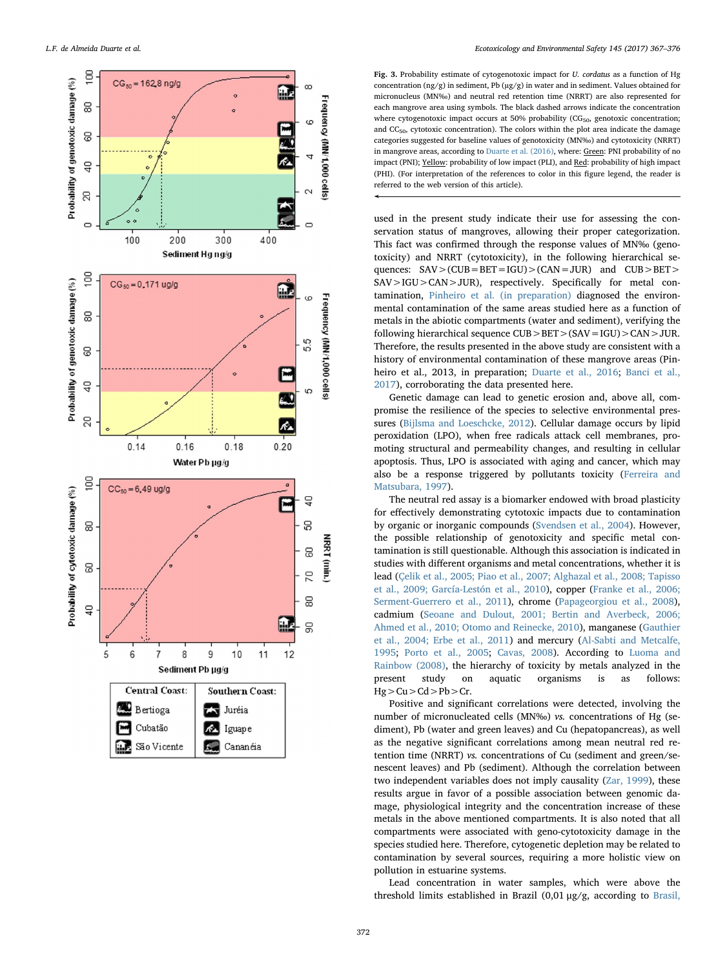<span id="page-5-0"></span>

Fig. 3. Probability estimate of cytogenotoxic impact for U. cordatus as a function of Hg concentration ( $ng/g$ ) in sediment, Pb ( $\mu g/g$ ) in water and in sediment. Values obtained for micronucleus (MN ‰) and neutral red retention time (NRRT) are also represented for each mangrove area using symbols. The black dashed arrows indicate the concentration where cytogenotoxic impact occurs at 50% probability  $(CG_{50}$ , genotoxic concentration; and  $CC_{50}$ , cytotoxic concentration). The colors within the plot area indicate the damage categories suggested for baseline values of genotoxicity (MN ‰) and cytotoxicity (NRRT) in mangrove areas, according to [Duarte et al. \(2016\),](#page-7-10) where: Green: PNI probability of no impact (PNI); Yellow: probability of low impact (PLI), and Red: probability of high impact (PHI). (For interpretation of the references to color in this figure legend, the reader is referred to the web version of this article).

used in the present study indicate their use for assessing the conservation status of mangroves, allowing their proper categorization. This fact was con firmed through the response values of MN ‰ (genotoxicity) and NRRT (cytotoxicity), in the following hierarchical sequences:  $SAV > (CUB = BET = IGU) > (CAN = JUR)$  and  $CUB > BET >$ SAV>IGU>CAN>JUR), respectively. Speci fically for metal contamination, [Pinheiro et al. \(in preparation\)](#page-8-16) diagnosed the environmental contamination of the same areas studied here as a function of metals in the abiotic compartments (water and sediment), verifying the following hierarchical sequence  $CUB > BET > (SAV = IGU) > CAN > JUR$ . Therefore, the results presented in the above study are consistent with a history of environmental contamination of these mangrove areas (Pinheiro et al., 2013, in preparation; [Duarte et al., 2016;](#page-7-10) [Banci et al.,](#page-7-24) [2017\)](#page-7-24), corroborating the data presented here.

Genetic damage can lead to genetic erosion and, above all, compromise the resilience of the species to selective environmental pressures ([Bijlsma and Loeschcke, 2012\)](#page-7-25). Cellular damage occurs by lipid peroxidation (LPO), when free radicals attack cell membranes, promoting structural and permeability changes, and resulting in cellular apoptosis. Thus, LPO is associated with aging and cancer, which may also be a response triggered by pollutants toxicity [\(Ferreira and](#page-7-26) [Matsubara, 1997\)](#page-7-26).

The neutral red assay is a biomarker endowed with broad plasticity for e ffectively demonstrating cytotoxic impacts due to contamination by organic or inorganic compounds [\(Svendsen et al., 2004\)](#page-8-27). However, the possible relationship of genotoxicity and speci fic metal contamination is still questionable. Although this association is indicated in studies with di fferent organisms and metal concentrations, whether it is lead ([Çelik et al., 2005; Piao et al., 2007; Alghazal et al., 2008; Tapisso](#page-7-27) [et al., 2009; García-Lestón et al., 2010](#page-7-27)), copper [\(Franke et al., 2006;](#page-7-28) [Serment-Guerrero et al., 2011](#page-7-28)), chrome ([Papageorgiou et al., 2008](#page-8-29)), cadmium [\(Seoane and Dulout, 2001; Bertin and Averbeck, 2006;](#page-8-30) [Ahmed et al., 2010; Otomo and Reinecke, 2010\)](#page-8-30), manganese ([Gauthier](#page-7-29) [et al., 2004; Erbe et al., 2011\)](#page-7-29) and mercury ([Al-Sabti and Metcalfe,](#page-7-30) [1995](#page-7-30) ; [Porto et al., 2005](#page-8-31) ; [Cavas, 2008](#page-7-31)). According to [Luoma and](#page-8-3) [Rainbow \(2008\)](#page-8-3), the hierarchy of toxicity by metals analyzed in the present study on aquatic organisms is as follows:  $Hg > Cu > Cd > Pb > Cr.$ 

Positive and signi ficant correlations were detected, involving the number of micronucleated cells (MN ‰ ) vs. concentrations of Hg (sediment), Pb (water and green leaves) and Cu (hepatopancreas), as well as the negative signi ficant correlations among mean neutral red retention time (NRRT) vs. concentrations of Cu (sediment and green/senescent leaves) and Pb (sediment). Although the correlation between two independent variables does not imply causality ([Zar, 1999](#page-9-0)), these results argue in favor of a possible association between genomic damage, physiological integrity and the concentration increase of these metals in the above mentioned compartments. It is also noted that all compartments were associated with geno-cytotoxicity damage in the species studied here. Therefore, cytogenetic depletion may be related to contamination by several sources, requiring a more holistic view on pollution in estuarine systems.

Lead concentration in water samples, which were above the threshold limits established in Brazil (0,01 μg/g, according to [Brasil,](#page-7-32)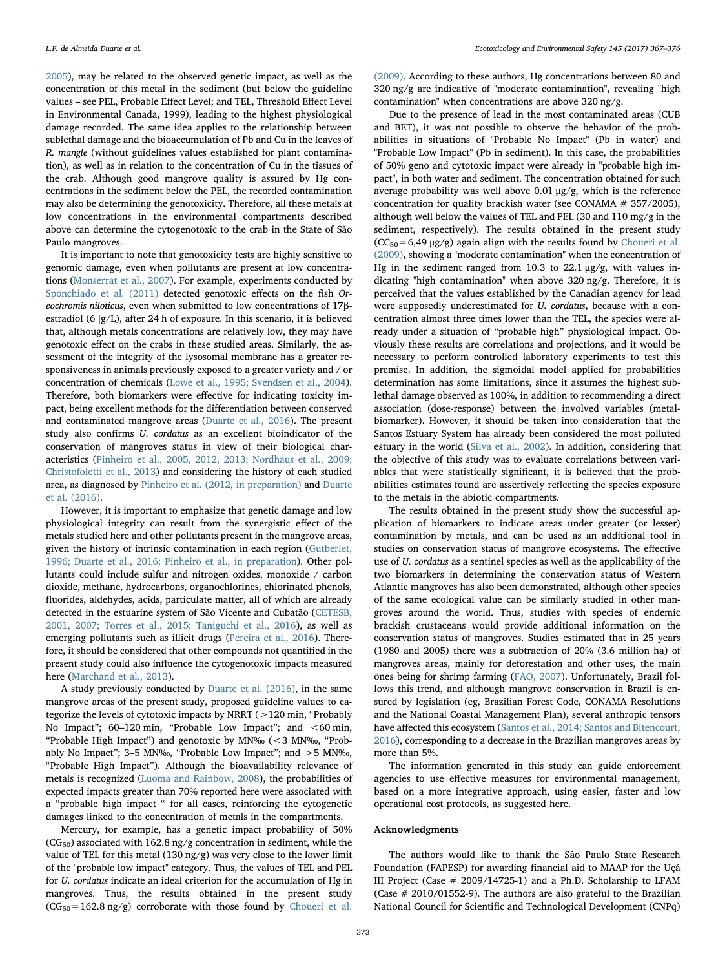[2005\)](#page-7-32), may be related to the observed genetic impact, as well as the concentration of this metal in the sediment (but below the guideline values – see PEL, Probable Effect Level; and TEL, Threshold Effect Level in Environmental Canada, 1999), leading to the highest physiological damage recorded. The same idea applies to the relationship between sublethal damage and the bioaccumulation of Pb and Cu in the leaves of R. mangle (without guidelines values established for plant contamination), as well as in relation to the concentration of Cu in the tissues of the crab. Although good mangrove quality is assured by Hg concentrations in the sediment below the PEL, the recorded contamination may also be determining the genotoxicity. Therefore, all these metals at low concentrations in the environmental compartments described above can determine the cytogenotoxic to the crab in the State of São Paulo mangroves.

It is important to note that genotoxicity tests are highly sensitive to genomic damage, even when pollutants are present at low concentrations [\(Monserrat et al., 2007](#page-8-6)). For example, experiments conducted by [Sponchiado et al. \(2011\)](#page-8-32) detected genotoxic effects on the fish Oreochromis niloticus, even when submitted to low concentrations of 17βestradiol (6 ∣g/L), after 24 h of exposure. In this scenario, it is believed that, although metals concentrations are relatively low, they may have genotoxic effect on the crabs in these studied areas. Similarly, the assessment of the integrity of the lysosomal membrane has a greater responsiveness in animals previously exposed to a greater variety and / or concentration of chemicals [\(Lowe et al., 1995; Svendsen et al., 2004](#page-8-8)). Therefore, both biomarkers were effective for indicating toxicity impact, being excellent methods for the differentiation between conserved and contaminated mangrove areas ([Duarte et al., 2016\)](#page-7-10). The present study also confirms U. cordatus as an excellent bioindicator of the conservation of mangroves status in view of their biological characteristics [\(Pinheiro et al., 2005, 2012, 2013; Nordhaus et al., 2009;](#page-8-13) [Christofoletti et al., 2013\)](#page-8-13) and considering the history of each studied area, as diagnosed by [Pinheiro et al. \(2012, in preparation\)](#page-8-10) and [Duarte](#page-7-10) [et al. \(2016\)](#page-7-10).

However, it is important to emphasize that genetic damage and low physiological integrity can result from the synergistic effect of the metals studied here and other pollutants present in the mangrove areas, given the history of intrinsic contamination in each region [\(Gutberlet,](#page-8-33) [1996; Duarte et al., 2016; Pinheiro et al., in preparation](#page-8-33)). Other pollutants could include sulfur and nitrogen oxides, monoxide / carbon dioxide, methane, hydrocarbons, organochlorines, chlorinated phenols, fluorides, aldehydes, acids, particulate matter, all of which are already detected in the estuarine system of São Vicente and Cubatão [\(CETESB,](#page-7-11) [2001, 2007; Torres et al., 2015; Taniguchi et al., 2016\)](#page-7-11), as well as emerging pollutants such as illicit drugs ([Pereira et al., 2016\)](#page-8-34). Therefore, it should be considered that other compounds not quantified in the present study could also influence the cytogenotoxic impacts measured here (Marchand [et al., 2013\)](#page-8-35).

A study previously conducted by [Duarte et al. \(2016\),](#page-7-10) in the same mangrove areas of the present study, proposed guideline values to categorize the levels of cytotoxic impacts by NRRT (>120 min, "Probably No Impact"; 60-120 min, "Probable Low Impact"; and <60 min, "Probable High Impact") and genotoxic by MN‰ (<3 MN‰, "Probably No Impact"; 3–5 MN‰, "Probable Low Impact"; and >5 MN‰, "Probable High Impact"). Although the bioavailability relevance of metals is recognized ([Luoma and Rainbow, 2008\)](#page-8-3), the probabilities of expected impacts greater than 70% reported here were associated with a "probable high impact " for all cases, reinforcing the cytogenetic damages linked to the concentration of metals in the compartments.

Mercury, for example, has a genetic impact probability of 50%  $(CG_{50})$  associated with 162.8 ng/g concentration in sediment, while the value of TEL for this metal (130 ng/g) was very close to the lower limit of the "probable low impact" category. Thus, the values of TEL and PEL for U. cordatus indicate an ideal criterion for the accumulation of Hg in mangroves. Thus, the results obtained in the present study  $(CG_{50} = 162.8 \text{ ng/g})$  corroborate with those found by [Choueri et al.](#page-7-33)

[\(2009\).](#page-7-33) According to these authors, Hg concentrations between 80 and 320 ng/g are indicative of "moderate contamination", revealing "high contamination" when concentrations are above 320 ng/g.

Due to the presence of lead in the most contaminated areas (CUB and BET), it was not possible to observe the behavior of the probabilities in situations of "Probable No Impact" (Pb in water) and "Probable Low Impact" (Pb in sediment). In this case, the probabilities of 50% geno and cytotoxic impact were already in "probable high impact", in both water and sediment. The concentration obtained for such average probability was well above 0.01  $\mu$ g/g, which is the reference concentration for quality brackish water (see CONAMA # 357/2005), although well below the values of TEL and PEL (30 and 110 mg/g in the sediment, respectively). The results obtained in the present study  $(CC_{50} = 6,49 \text{ µg/g})$  again align with the results found by [Choueri et al.](#page-7-33) [\(2009\),](#page-7-33) showing a "moderate contamination" when the concentration of Hg in the sediment ranged from 10.3 to 22.1  $\mu$ g/g, with values indicating "high contamination" when above 320 ng/g. Therefore, it is perceived that the values established by the Canadian agency for lead were supposedly underestimated for U. cordatus, because with a concentration almost three times lower than the TEL, the species were already under a situation of "probable high" physiological impact. Obviously these results are correlations and projections, and it would be necessary to perform controlled laboratory experiments to test this premise. In addition, the sigmoidal model applied for probabilities determination has some limitations, since it assumes the highest sublethal damage observed as 100%, in addition to recommending a direct association (dose-response) between the involved variables (metalbiomarker). However, it should be taken into consideration that the Santos Estuary System has already been considered the most polluted estuary in the world ([Silva et al., 2002](#page-8-36)). In addition, considering that the objective of this study was to evaluate correlations between variables that were statistically significant, it is believed that the probabilities estimates found are assertively reflecting the species exposure to the metals in the abiotic compartments.

The results obtained in the present study show the successful application of biomarkers to indicate areas under greater (or lesser) contamination by metals, and can be used as an additional tool in studies on conservation status of mangrove ecosystems. The effective use of U. cordatus as a sentinel species as well as the applicability of the two biomarkers in determining the conservation status of Western Atlantic mangroves has also been demonstrated, although other species of the same ecological value can be similarly studied in other mangroves around the world. Thus, studies with species of endemic brackish crustaceans would provide additional information on the conservation status of mangroves. Studies estimated that in 25 years (1980 and 2005) there was a subtraction of 20% (3.6 million ha) of mangroves areas, mainly for deforestation and other uses, the main ones being for shrimp farming ([FAO, 2007](#page-7-34)). Unfortunately, Brazil follows this trend, and although mangrove conservation in Brazil is ensured by legislation (eg, Brazilian Forest Code, CONAMA Resolutions and the National Coastal Management Plan), several anthropic tensors have affected this ecosystem ([Santos et al., 2014; Santos and Bitencourt,](#page-8-37) [2016\)](#page-8-37), corresponding to a decrease in the Brazilian mangroves areas by more than 5%.

The information generated in this study can guide enforcement agencies to use effective measures for environmental management, based on a more integrative approach, using easier, faster and low operational cost protocols, as suggested here.

## Acknowledgments

The authors would like to thank the São Paulo State Research Foundation (FAPESP) for awarding financial aid to MAAP for the Uçá III Project (Case # 2009/14725-1) and a Ph.D. Scholarship to LFAM (Case # 2010/01552-9). The authors are also grateful to the Brazilian National Council for Scientific and Technological Development (CNPq)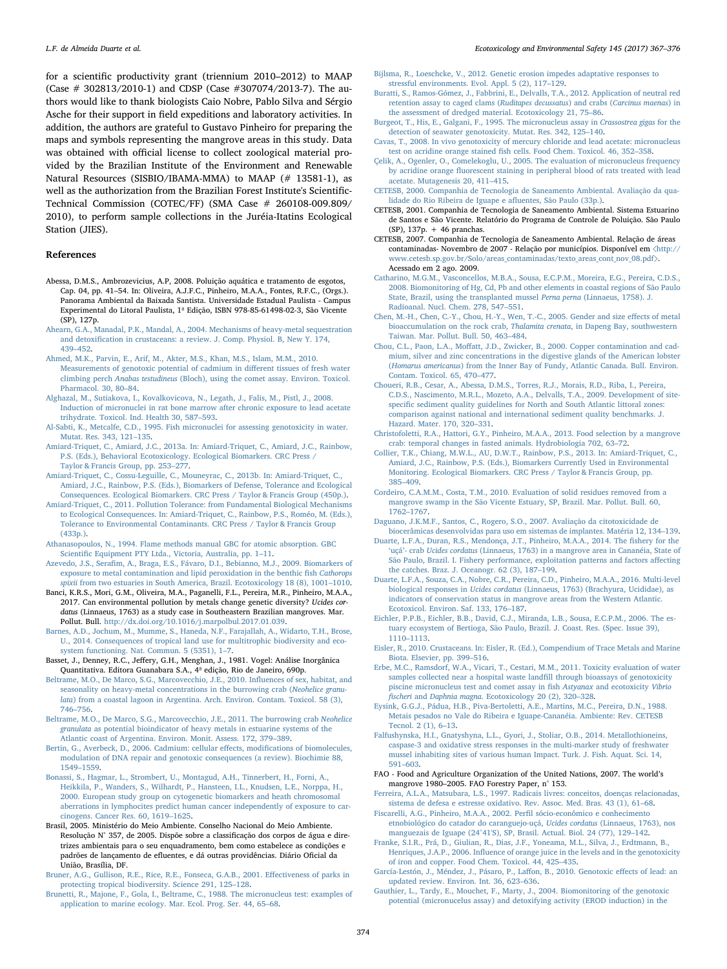for a scientific productivity grant (triennium 2010–2012) to MAAP (Case # 302813/2010-1) and CDSP (Case #307074/2013-7). The authors would like to thank biologists Caio Nobre, Pablo Silva and Sérgio Asche for their support in field expeditions and laboratory activities. In addition, the authors are grateful to Gustavo Pinheiro for preparing the maps and symbols representing the mangrove areas in this study. Data was obtained with official license to collect zoological material provided by the Brazilian Institute of the Environment and Renewable Natural Resources (SISBIO/IBAMA-MMA) to MAAP (# 13581-1), as well as the authorization from the Brazilian Forest Institute's Scientific-Technical Commission (COTEC/FF) (SMA Case # 260108-009.809/ 2010), to perform sample collections in the Juréia-Itatins Ecological Station (JIES).

### References

- <span id="page-7-9"></span>Abessa, D.M.S., Ambrozevicius, A.P, 2008. Poluição aquática e tratamento de esgotos, Cap. 04, pp. 41–54. In: Oliveira, A.J.F.C., Pinheiro, M.A.A., Fontes, R.F.C., (Orgs.). Panorama Ambiental da Baixada Santista. Universidade Estadual Paulista - Campus Experimental do Litoral Paulista, 1ª Edição, ISBN 978-85-61498-02-3, São Vicente (SP), 127p.
- <span id="page-7-1"></span>[Ahearn, G.A., Manadal, P.K., Mandal, A., 2004. Mechanisms of heavy-metal sequestration](http://refhub.elsevier.com/S0147-6513(17)30463-3/sbref1) and detoxifi[cation in crustaceans: a review. J. Comp. Physiol. B, New Y. 174,](http://refhub.elsevier.com/S0147-6513(17)30463-3/sbref1) 439–[452](http://refhub.elsevier.com/S0147-6513(17)30463-3/sbref1).
- [Ahmed, M.K., Parvin, E., Arif, M., Akter, M.S., Khan, M.S., Islam, M.M., 2010.](http://refhub.elsevier.com/S0147-6513(17)30463-3/sbref2) [Measurements of genotoxic potential of cadmium in di](http://refhub.elsevier.com/S0147-6513(17)30463-3/sbref2)fferent tissues of fresh water climbing perch Anabas testudineus [\(Bloch\), using the comet assay. Environ. Toxicol.](http://refhub.elsevier.com/S0147-6513(17)30463-3/sbref2) [Pharmacol. 30, 80](http://refhub.elsevier.com/S0147-6513(17)30463-3/sbref2)–84.

[Alghazal, M., Sutiakova, I., Kovalkovicova, N., Legath, J., Falis, M., Pistl, J., 2008.](http://refhub.elsevier.com/S0147-6513(17)30463-3/sbref3) [Induction of micronuclei in rat bone marrow after chronic exposure to lead acetate](http://refhub.elsevier.com/S0147-6513(17)30463-3/sbref3) [trihydrate. Toxicol. Ind. Health 30, 587](http://refhub.elsevier.com/S0147-6513(17)30463-3/sbref3)–593.

- <span id="page-7-30"></span>[Al-Sabti, K., Metcalfe, C.D., 1995. Fish micronuclei for assessing genotoxicity in water.](http://refhub.elsevier.com/S0147-6513(17)30463-3/sbref4) [Mutat. Res. 343, 121](http://refhub.elsevier.com/S0147-6513(17)30463-3/sbref4)–135.
- [Amiard-Triquet, C., Amiard, J.C., 2013a. In: Amiard-Triquet, C., Amiard, J.C., Rainbow,](http://refhub.elsevier.com/S0147-6513(17)30463-3/sbref5) [P.S. \(Eds.\), Behavioral Ecotoxicology. Ecological Biomarkers. CRC Press /](http://refhub.elsevier.com/S0147-6513(17)30463-3/sbref5) [Taylor & Francis Group, pp. 253](http://refhub.elsevier.com/S0147-6513(17)30463-3/sbref5)–277.
- <span id="page-7-3"></span>[Amiard-Triquet, C., Cossu-Leguille, C., Mouneyrac, C., 2013b. In: Amiard-Triquet, C.,](http://refhub.elsevier.com/S0147-6513(17)30463-3/sbref6) [Amiard, J.C., Rainbow, P.S. \(Eds.\), Biomarkers of Defense, Tolerance and Ecological](http://refhub.elsevier.com/S0147-6513(17)30463-3/sbref6) [Consequences. Ecological Biomarkers. CRC Press / Taylor & Francis Group \(450p.\).](http://refhub.elsevier.com/S0147-6513(17)30463-3/sbref6)
- [Amiard-Triquet, C., 2011. Pollution Tolerance: from Fundamental Biological Mechanisms](http://refhub.elsevier.com/S0147-6513(17)30463-3/sbref7) [to Ecological Consequences. In: Amiard-Triquet, C., Rainbow, P.S., Roméo, M. \(Eds.\),](http://refhub.elsevier.com/S0147-6513(17)30463-3/sbref7) [Tolerance to Environmental Contaminants. CRC Press / Taylor & Francis Group](http://refhub.elsevier.com/S0147-6513(17)30463-3/sbref7) [\(433p.\)](http://refhub.elsevier.com/S0147-6513(17)30463-3/sbref7).
- <span id="page-7-23"></span>[Athanasopoulos, N., 1994. Flame methods manual GBC for atomic absorption. GBC](http://refhub.elsevier.com/S0147-6513(17)30463-3/sbref8) Scientifi[c Equipment PTY Ltda., Victoria, Australia, pp. 1](http://refhub.elsevier.com/S0147-6513(17)30463-3/sbref8)–11.
- <span id="page-7-14"></span>Azevedo, J.S., Serafi[m, A., Braga, E.S., Fávaro, D.I., Bebianno, M.J., 2009. Biomarkers of](http://refhub.elsevier.com/S0147-6513(17)30463-3/sbref9) [exposure to metal contamination and lipid peroxidation in the benthic](http://refhub.elsevier.com/S0147-6513(17)30463-3/sbref9) fish Cathorops spixii [from two estuaries in South America, Brazil. Ecotoxicology 18 \(8\), 1001](http://refhub.elsevier.com/S0147-6513(17)30463-3/sbref9)–1010.
- <span id="page-7-24"></span>Banci, K.R.S., Mori, G.M., Oliveira, M.A., Paganelli, F.L., Pereira, M.R., Pinheiro, M.A.A., 2017. Can environmental pollution by metals change genetic diversity? Ucides cordatus (Linnaeus, 1763) as a study case in Southeastern Brazilian mangroves. Mar. Pollut. Bull. [http://dx.doi.org/10.1016/j.marpolbul.2017.01.039.](http://dx.doi.org/10.1016/j.marpolbul.2017.01.039)
- <span id="page-7-0"></span>[Barnes, A.D., Jochum, M., Mumme, S., Haneda, N.F., Farajallah, A., Widarto, T.H., Brose,](http://refhub.elsevier.com/S0147-6513(17)30463-3/sbref11) [U., 2014. Consequences of tropical land use for multitrophic biodiversity and eco](http://refhub.elsevier.com/S0147-6513(17)30463-3/sbref11)[system functioning. Nat. Commun. 5 \(5351\), 1](http://refhub.elsevier.com/S0147-6513(17)30463-3/sbref11)–7.
- <span id="page-7-22"></span>Basset, J., Denney, R.C., Jeffery, G.H., Menghan, J., 1981. Vogel: Análise Inorgânica Quantitativa. Editora Guanabara S.A., 4ª edição, Rio de Janeiro, 690p.
- <span id="page-7-7"></span>[Beltrame, M.O., De Marco, S.G., Marcovecchio, J.E., 2010. In](http://refhub.elsevier.com/S0147-6513(17)30463-3/sbref12)fluences of sex, habitat, and [seasonality on heavy-metal concentrations in the burrowing crab \(](http://refhub.elsevier.com/S0147-6513(17)30463-3/sbref12)Neohelice granulata[\) from a coastal lagoon in Argentina. Arch. Environ. Contam. Toxicol. 58 \(3\),](http://refhub.elsevier.com/S0147-6513(17)30463-3/sbref12) 746–[756](http://refhub.elsevier.com/S0147-6513(17)30463-3/sbref12).
- [Beltrame, M.O., De Marco, S.G., Marcovecchio, J.E., 2011. The burrowing crab](http://refhub.elsevier.com/S0147-6513(17)30463-3/sbref13) Neohelice granulata [as potential bioindicator of heavy metals in estuarine systems of the](http://refhub.elsevier.com/S0147-6513(17)30463-3/sbref13) Atlantic [coast of Argentina. Environ. Monit. Assess. 172, 379](http://refhub.elsevier.com/S0147-6513(17)30463-3/sbref13)–389.
- [Bertin, G., Averbeck, D., 2006. Cadmium: cellular e](http://refhub.elsevier.com/S0147-6513(17)30463-3/sbref14)ffects, modifications of biomolecules, [modulation of DNA repair and genotoxic consequences \(a review\). Biochimie 88,](http://refhub.elsevier.com/S0147-6513(17)30463-3/sbref14) [1549](http://refhub.elsevier.com/S0147-6513(17)30463-3/sbref14)–1559.
- <span id="page-7-4"></span>[Bonassi, S., Hagmar, L., Strombert, U., Montagud, A.H., Tinnerbert, H., Forni, A.,](http://refhub.elsevier.com/S0147-6513(17)30463-3/sbref15) [Heikkila, P., Wanders, S., Wilhardt, P., Hansteen, I.L., Knudsen, L.E., Norppa, H.,](http://refhub.elsevier.com/S0147-6513(17)30463-3/sbref15) [2000. European study group on cytogenetic biomarkers and heath chromosomal](http://refhub.elsevier.com/S0147-6513(17)30463-3/sbref15) [aberrations in lymphocites predict human cancer independently of exposure to car](http://refhub.elsevier.com/S0147-6513(17)30463-3/sbref15)[cinogens. Cancer Res. 60, 1619](http://refhub.elsevier.com/S0147-6513(17)30463-3/sbref15)–1625.
- <span id="page-7-32"></span>Brasil, 2005. Ministério do Meio Ambiente. Conselho Nacional do Meio Ambiente. Resolução N° 357, de 2005. Dispõe sobre a classificação dos corpos de água e diretrizes ambientais para o seu enquadramento, bem como estabelece as condições e padrões de lançamento de efluentes, e dá outras providências. Diário Oficial da União, Brasília, DF.
- <span id="page-7-18"></span>[Bruner, A.G., Gullison, R.E., Rice, R.E., Fonseca, G.A.B., 2001. E](http://refhub.elsevier.com/S0147-6513(17)30463-3/sbref16)ffectiveness of parks in [protecting tropical biodiversity. Science 291, 125](http://refhub.elsevier.com/S0147-6513(17)30463-3/sbref16)–128.
- [Brunetti, R., Majone, F., Gola, I., Beltrame, C., 1988. The micronucleus test: examples of](http://refhub.elsevier.com/S0147-6513(17)30463-3/sbref17) [application to marine ecology. Mar. Ecol. Prog. Ser. 44, 65](http://refhub.elsevier.com/S0147-6513(17)30463-3/sbref17)–68.
- <span id="page-7-25"></span>[Bijlsma, R., Loeschcke, V., 2012. Genetic erosion impedes adaptative responses to](http://refhub.elsevier.com/S0147-6513(17)30463-3/sbref18) [stressful environments. Evol. Appl. 5 \(2\), 117](http://refhub.elsevier.com/S0147-6513(17)30463-3/sbref18)–129.
- [Buratti, S., Ramos-Gómez, J., Fabbrini, E., Delvalls, T.A., 2012. Application of neutral red](http://refhub.elsevier.com/S0147-6513(17)30463-3/sbref19) [retention assay to caged clams \(](http://refhub.elsevier.com/S0147-6513(17)30463-3/sbref19)Ruditapes decussatus) and crabs (Carcinus maenas) in [the assessment of dredged material. Ecotoxicology 21, 75](http://refhub.elsevier.com/S0147-6513(17)30463-3/sbref19)–86.
- [Burgeot, T., His, E., Galgani, F., 1995. The micronucleus assay in](http://refhub.elsevier.com/S0147-6513(17)30463-3/sbref20) Crassostrea gigas for the [detection of seawater genotoxicity. Mutat. Res. 342, 125](http://refhub.elsevier.com/S0147-6513(17)30463-3/sbref20)–140.
- <span id="page-7-31"></span>[Cavas, T., 2008. In vivo genotoxicity of mercury chloride and lead acetate: micronucleus](http://refhub.elsevier.com/S0147-6513(17)30463-3/sbref21) test on acridine orange stained fi[sh cells. Food Chem. Toxicol. 46, 352](http://refhub.elsevier.com/S0147-6513(17)30463-3/sbref21)–358.
- <span id="page-7-27"></span>[Çelik, A., Ogenler, O., Comelekoglu, U., 2005. The evaluation of micronucleus frequency](http://refhub.elsevier.com/S0147-6513(17)30463-3/sbref22) by acridine orange fl[uorescent staining in peripheral blood of rats treated with lead](http://refhub.elsevier.com/S0147-6513(17)30463-3/sbref22) [acetate. Mutagenesis 20, 411](http://refhub.elsevier.com/S0147-6513(17)30463-3/sbref22)–415.
- <span id="page-7-16"></span>[CETESB, 2000. Companhia de Tecnologia de Saneamento Ambiental. Avaliação da qua](http://refhub.elsevier.com/S0147-6513(17)30463-3/sbref23)[lidade do Rio Ribeira de Iguape e a](http://refhub.elsevier.com/S0147-6513(17)30463-3/sbref23)fluentes, São Paulo (33p.).
- <span id="page-7-11"></span>CETESB, 2001. Companhia de Tecnologia de Saneamento Ambiental. Sistema Estuarino de Santos e São Vicente. Relatório do Programa de Controle de Poluição. São Paulo (SP), 137p. + 46 pranchas.
- <span id="page-7-13"></span>CETESB, 2007. Companhia de Tecnologia de Saneamento Ambiental. Relação de áreas contaminadas- Novembro de 2007 - Relação por municípios. Disponível em 〈[http://](http://www.cetesb.sp.gov.br/Solo/areas_contaminadas/texto_areas_cont_nov_08.pdf) [www.cetesb.sp.gov.br/Solo/areas\\_contaminadas/texto\\_areas\\_cont\\_nov\\_08.pdf](http://www.cetesb.sp.gov.br/Solo/areas_contaminadas/texto_areas_cont_nov_08.pdf)>. Acessado em 2 ago. 2009.
- <span id="page-7-6"></span>[Catharino, M.G.M., Vasconcellos, M.B.A., Sousa, E.C.P.M., Moreira, E.G., Pereira, C.D.S.,](http://refhub.elsevier.com/S0147-6513(17)30463-3/sbref24) [2008. Biomonitoring of Hg, Cd, Pb and other elements in coastal regions of São Paulo](http://refhub.elsevier.com/S0147-6513(17)30463-3/sbref24) [State, Brazil, using the transplanted mussel](http://refhub.elsevier.com/S0147-6513(17)30463-3/sbref24) Perna perna (Linnaeus, 1758). J. [Radioanal. Nucl. Chem. 278, 547](http://refhub.elsevier.com/S0147-6513(17)30463-3/sbref24)–551.
- <span id="page-7-21"></span>[Chen, M.-H., Chen, C.-Y., Chou, H.-Y., Wen, T.-C., 2005. Gender and size e](http://refhub.elsevier.com/S0147-6513(17)30463-3/sbref25)ffects of metal [bioaccumulation on the rock crab,](http://refhub.elsevier.com/S0147-6513(17)30463-3/sbref25) Thalamita crenata, in Dapeng Bay, southwestern [Taiwan. Mar. Pollut. Bull. 50, 463](http://refhub.elsevier.com/S0147-6513(17)30463-3/sbref25)–484.
- <span id="page-7-20"></span>Chou, C.L., Paon, L.A., Moff[att, J.D., Zwicker, B., 2000. Copper contamination and cad](http://refhub.elsevier.com/S0147-6513(17)30463-3/sbref26)[mium, silver and zinc concentrations in the digestive glands of the American lobster](http://refhub.elsevier.com/S0147-6513(17)30463-3/sbref26) (Homarus americanus[\) from the Inner Bay of Fundy, Atlantic Canada. Bull. Environ.](http://refhub.elsevier.com/S0147-6513(17)30463-3/sbref26) [Contam. Toxicol. 65, 470](http://refhub.elsevier.com/S0147-6513(17)30463-3/sbref26)–477.
- <span id="page-7-33"></span>[Choueri, R.B., Cesar, A., Abessa, D.M.S., Torres, R.J., Morais, R.D., Riba, I., Pereira,](http://refhub.elsevier.com/S0147-6513(17)30463-3/sbref27) [C.D.S., Nascimento, M.R.L., Mozeto, A.A., Delvalls, T.A., 2009. Development of site](http://refhub.elsevier.com/S0147-6513(17)30463-3/sbref27)specifi[c sediment quality guidelines for North and South Atlantic littoral zones:](http://refhub.elsevier.com/S0147-6513(17)30463-3/sbref27) [comparison against national and international sediment quality benchmarks. J.](http://refhub.elsevier.com/S0147-6513(17)30463-3/sbref27) [Hazard. Mater. 170, 320](http://refhub.elsevier.com/S0147-6513(17)30463-3/sbref27)–331.
- <span id="page-7-19"></span>[Christofoletti, R.A., Hattori, G.Y., Pinheiro, M.A.A., 2013. Food selection by a mangrove](http://refhub.elsevier.com/S0147-6513(17)30463-3/sbref28) [crab: temporal changes in fasted animals. Hydrobiologia 702, 63](http://refhub.elsevier.com/S0147-6513(17)30463-3/sbref28)–72.
- [Collier, T.K., Chiang, M.W.L., AU, D.W.T., Rainbow, P.S., 2013. In: Amiard-Triquet, C.,](http://refhub.elsevier.com/S0147-6513(17)30463-3/sbref29) [Amiard, J.C., Rainbow, P.S. \(Eds.\), Biomarkers Currently Used in Environmental](http://refhub.elsevier.com/S0147-6513(17)30463-3/sbref29) [Monitoring. Ecological Biomarkers. CRC Press / Taylor & Francis Group, pp.](http://refhub.elsevier.com/S0147-6513(17)30463-3/sbref29) 385–[409](http://refhub.elsevier.com/S0147-6513(17)30463-3/sbref29).
- [Cordeiro, C.A.M.M., Costa, T.M., 2010. Evaluation of solid residues removed from a](http://refhub.elsevier.com/S0147-6513(17)30463-3/sbref30) [mangrove swamp in the São Vicente Estuary, SP, Brazil. Mar. Pollut. Bull. 60,](http://refhub.elsevier.com/S0147-6513(17)30463-3/sbref30) 1762–[1767](http://refhub.elsevier.com/S0147-6513(17)30463-3/sbref30).
- [Daguano, J.K.M.F., Santos, C., Rogero, S.O., 2007. Avaliação da citotoxicidade de](http://refhub.elsevier.com/S0147-6513(17)30463-3/sbref31) [biocerâmicas desenvolvidas para uso em sistemas de implantes. Matéria 12, 134](http://refhub.elsevier.com/S0147-6513(17)30463-3/sbref31)–139.
- <span id="page-7-17"></span>[Duarte, L.F.A., Duran, R.S., Mendonça, J.T., Pinheiro, M.A.A., 2014. The](http://refhub.elsevier.com/S0147-6513(17)30463-3/sbref32) fishery for the 'uçá'- crab Ucides cordatus [\(Linnaeus, 1763\) in a mangrove area in Cananéia, State of](http://refhub.elsevier.com/S0147-6513(17)30463-3/sbref32) [São Paulo, Brazil. I. Fishery performance, exploitation patterns and factors a](http://refhub.elsevier.com/S0147-6513(17)30463-3/sbref32)ffecting [the catches. Braz. J. Oceanogr. 62 \(3\), 187](http://refhub.elsevier.com/S0147-6513(17)30463-3/sbref32)–199.
- <span id="page-7-10"></span>[Duarte, L.F.A., Souza, C.A., Nobre, C.R., Pereira, C.D., Pinheiro, M.A.A., 2016. Multi-level](http://refhub.elsevier.com/S0147-6513(17)30463-3/sbref33) biological responses in Ucides cordatus [\(Linnaeus, 1763\) \(Brachyura, Ucididae\), as](http://refhub.elsevier.com/S0147-6513(17)30463-3/sbref33) [indicators of conservation status in mangrove areas from the Western Atlantic.](http://refhub.elsevier.com/S0147-6513(17)30463-3/sbref33) [Ecotoxicol. Environ. Saf. 133, 176](http://refhub.elsevier.com/S0147-6513(17)30463-3/sbref33)–187.
- <span id="page-7-12"></span>[Eichler, P.P.B., Eichler, B.B., David, C.J., Miranda, L.B., Sousa, E.C.P.M., 2006. The es](http://refhub.elsevier.com/S0147-6513(17)30463-3/sbref34)[tuary ecosystem of Bertioga, São Paulo, Brazil. J. Coast. Res. \(Spec. Issue 39\),](http://refhub.elsevier.com/S0147-6513(17)30463-3/sbref34) 1110–[1113](http://refhub.elsevier.com/S0147-6513(17)30463-3/sbref34).
- <span id="page-7-2"></span>[Eisler, R., 2010. Crustaceans. In: Eisler, R. \(Ed.\), Compendium of Trace Metals and Marine](http://refhub.elsevier.com/S0147-6513(17)30463-3/sbref35) [Biota. Elsevier, pp. 399](http://refhub.elsevier.com/S0147-6513(17)30463-3/sbref35)–516.
- [Erbe, M.C., Ramsdorf, W.A., Vicari, T., Cestari, M.M., 2011. Toxicity evaluation of water](http://refhub.elsevier.com/S0147-6513(17)30463-3/sbref36) [samples collected near a hospital waste land](http://refhub.elsevier.com/S0147-6513(17)30463-3/sbref36)fill through bioassays of genotoxicity [piscine micronucleus test and comet assay in](http://refhub.elsevier.com/S0147-6513(17)30463-3/sbref36) fish Astyanax and ecotoxicity Vibrio fischeri and Daphnia magna[. Ecotoxicology 20 \(2\), 320](http://refhub.elsevier.com/S0147-6513(17)30463-3/sbref36)–328.
- <span id="page-7-15"></span>[Eysink, G.G.J., Pádua, H.B., Piva-Bertoletti, A.E., Martins, M.C., Pereira, D.N., 1988.](http://refhub.elsevier.com/S0147-6513(17)30463-3/sbref37) [Metais pesados no Vale do Ribeira e Iguape-Cananéia. Ambiente: Rev. CETESB](http://refhub.elsevier.com/S0147-6513(17)30463-3/sbref37) [Tecnol. 2 \(1\), 6](http://refhub.elsevier.com/S0147-6513(17)30463-3/sbref37)–13.
- <span id="page-7-5"></span>[Falfushynska, H.I., Gnatyshyna, L.L., Gyori, J., Stoliar, O.B., 2014. Metallothioneins,](http://refhub.elsevier.com/S0147-6513(17)30463-3/sbref38) [caspase-3 and oxidative stress responses in the multi-marker study of freshwater](http://refhub.elsevier.com/S0147-6513(17)30463-3/sbref38) [mussel inhabiting sites of various human Impact. Turk. J. Fish. Aquat. Sci. 14,](http://refhub.elsevier.com/S0147-6513(17)30463-3/sbref38) 591–[603](http://refhub.elsevier.com/S0147-6513(17)30463-3/sbref38).
- <span id="page-7-34"></span>FAO - Food and Agriculture Organization of the United Nations, 2007. The world's mangrove 1980–2005. FAO Forestry Paper, n° 153.
- <span id="page-7-26"></span>[Ferreira, A.L.A., Matsubara, L.S., 1997. Radicais livres: conceitos, doenças relacionadas,](http://refhub.elsevier.com/S0147-6513(17)30463-3/sbref39) [sistema de defesa e estresse oxidativo. Rev. Assoc. Med. Bras. 43 \(1\), 61](http://refhub.elsevier.com/S0147-6513(17)30463-3/sbref39)–68.
- <span id="page-7-8"></span>[Fiscarelli, A.G., Pinheiro, M.A.A., 2002. Per](http://refhub.elsevier.com/S0147-6513(17)30463-3/sbref40)fil sócio-econômico e conhecimento [etnobiológico do catador do caranguejo-uçá,](http://refhub.elsevier.com/S0147-6513(17)30463-3/sbref40) Ucides cordatus (Linnaeus, 1763), nos [manguezais de Iguape \(24°41'S\), SP, Brasil. Actual. Biol. 24 \(77\), 129](http://refhub.elsevier.com/S0147-6513(17)30463-3/sbref40)–142.
- <span id="page-7-28"></span>[Franke, S.I.R., Prá, D., Giulian, R., Dias, J.F., Yoneama, M.L., Silva, J., Erdtmann, B.,](http://refhub.elsevier.com/S0147-6513(17)30463-3/sbref41) Henriques, J.A.P., 2006. Infl[uence of orange juice in the levels and in the genotoxicity](http://refhub.elsevier.com/S0147-6513(17)30463-3/sbref41) [of iron and copper. Food Chem. Toxicol. 44, 425](http://refhub.elsevier.com/S0147-6513(17)30463-3/sbref41)–435.
- [García-Lestón, J., Méndez, J., Pásaro, P., La](http://refhub.elsevier.com/S0147-6513(17)30463-3/sbref42)ffon, B., 2010. Genotoxic effects of lead: an [updated review. Environ. Int. 36, 623](http://refhub.elsevier.com/S0147-6513(17)30463-3/sbref42)–636.
- <span id="page-7-29"></span>[Gauthier, L., Tardy, E., Mouchet, F., Marty, J., 2004. Biomonitoring of the genotoxic](http://refhub.elsevier.com/S0147-6513(17)30463-3/sbref43) [potential \(micronucelus assay\) and detoxifying activity \(EROD induction\) in the](http://refhub.elsevier.com/S0147-6513(17)30463-3/sbref43)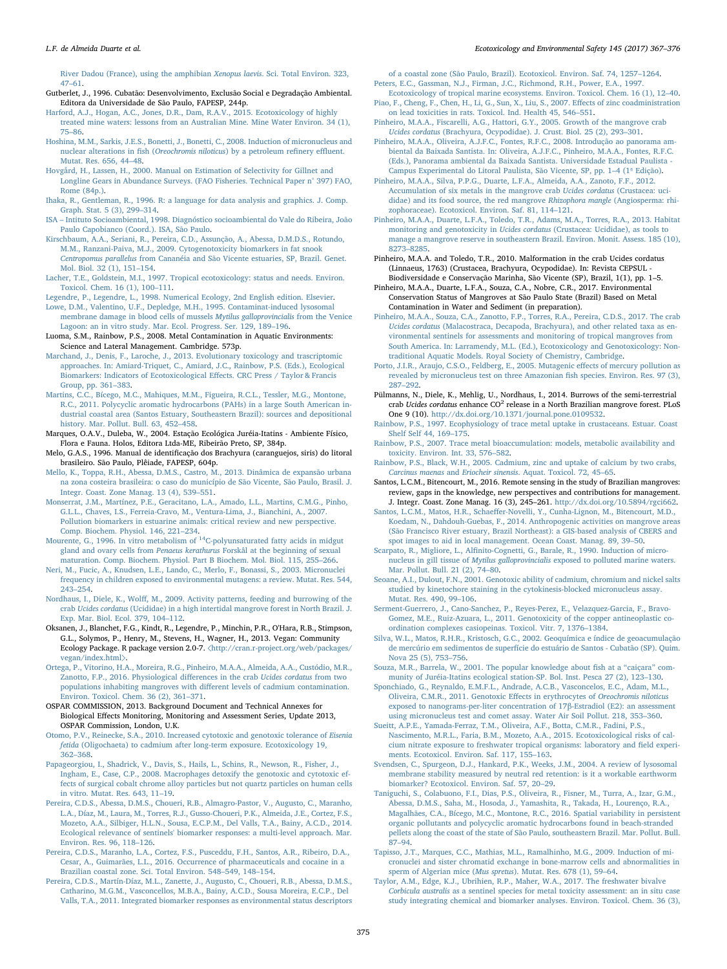#### L.F. de Almeida Duarte et al. *Ecotoxicology and Environmental Safety 145 (2017) 367–376*

[River Dadou \(France\), using the amphibian](http://refhub.elsevier.com/S0147-6513(17)30463-3/sbref43) Xenopus laevis. Sci. Total Environ. 323, 47–[61](http://refhub.elsevier.com/S0147-6513(17)30463-3/sbref43).

<span id="page-8-33"></span>Gutberlet, J., 1996. Cubatão: Desenvolvimento, Exclusão Social e Degradação Ambiental. Editora da Universidade de São Paulo, FAPESP, 244p.

- [Harford, A.J., Hogan, A.C., Jones, D.R., Dam, R.A.V., 2015. Ecotoxicology of highly](http://refhub.elsevier.com/S0147-6513(17)30463-3/sbref44) [treated mine waters: lessons from an Australian Mine. Mine Water Environ. 34 \(1\),](http://refhub.elsevier.com/S0147-6513(17)30463-3/sbref44) 75–[86](http://refhub.elsevier.com/S0147-6513(17)30463-3/sbref44).
- [Hoshina, M.M., Sarkis, J.E.S., Bonetti, J., Bonetti, C., 2008. Induction of micronucleus and](http://refhub.elsevier.com/S0147-6513(17)30463-3/sbref45) [nuclear alterations in](http://refhub.elsevier.com/S0147-6513(17)30463-3/sbref45) fish (Oreochromis niloticus) by a petroleum refinery effluent. [Mutat. Res. 656, 44](http://refhub.elsevier.com/S0147-6513(17)30463-3/sbref45)–48.
- <span id="page-8-25"></span>[Hovgård, H., Lassen, H., 2000. Manual on Estimation of Selectivity for Gillnet and](http://refhub.elsevier.com/S0147-6513(17)30463-3/sbref46) [Longline Gears in Abundance Surveys. \(FAO Fisheries. Technical Paper n° 397\) FAO,](http://refhub.elsevier.com/S0147-6513(17)30463-3/sbref46) [Rome \(84p.\)](http://refhub.elsevier.com/S0147-6513(17)30463-3/sbref46).
- <span id="page-8-22"></span>[Ihaka, R., Gentleman, R., 1996. R: a language for data analysis and graphics. J. Comp.](http://refhub.elsevier.com/S0147-6513(17)30463-3/sbref47) [Graph. Stat. 5 \(3\), 299](http://refhub.elsevier.com/S0147-6513(17)30463-3/sbref47)–314.
- <span id="page-8-18"></span>ISA – [Intituto Socioambiental, 1998. Diagnóstico socioambiental do Vale do Ribeira, João](http://refhub.elsevier.com/S0147-6513(17)30463-3/sbref48) [Paulo Capobianco \(Coord.\). ISA, São Paulo](http://refhub.elsevier.com/S0147-6513(17)30463-3/sbref48).
- [Kirschbaum, A.A., Seriani, R., Pereira, C.D., Assunção, A., Abessa, D.M.D.S., Rotundo,](http://refhub.elsevier.com/S0147-6513(17)30463-3/sbref49) [M.M., Ranzani-Paiva, M.J., 2009. Cytogenotoxicity biomarkers in fat snook](http://refhub.elsevier.com/S0147-6513(17)30463-3/sbref49) Centropomus parallelus [from Cananéia and São Vicente estuaries, SP, Brazil. Genet.](http://refhub.elsevier.com/S0147-6513(17)30463-3/sbref49) [Mol. Biol. 32 \(1\), 151](http://refhub.elsevier.com/S0147-6513(17)30463-3/sbref49)–154.
- <span id="page-8-0"></span>[Lacher, T.E., Goldstein, M.I., 1997. Tropical ecotoxicology: status and needs. Environ.](http://refhub.elsevier.com/S0147-6513(17)30463-3/sbref50) [Toxicol. Chem. 16 \(1\), 100](http://refhub.elsevier.com/S0147-6513(17)30463-3/sbref50)–111.
- <span id="page-8-23"></span>[Legendre, P., Legendre, L., 1998. Numerical Ecology, 2nd English edition. Elsevier](http://refhub.elsevier.com/S0147-6513(17)30463-3/sbref51).
- <span id="page-8-8"></span>[Lowe, D.M., Valentino, U.F., Depledge, M.H., 1995. Contaminat-induced lysosomal](http://refhub.elsevier.com/S0147-6513(17)30463-3/sbref52) [membrane damage in blood cells of mussels](http://refhub.elsevier.com/S0147-6513(17)30463-3/sbref52) Mytilus galloprovincialis from the Venice [Lagoon: an in vitro study. Mar. Ecol. Progress. Ser. 129, 189](http://refhub.elsevier.com/S0147-6513(17)30463-3/sbref52)–196.

<span id="page-8-3"></span>Luoma, S.M., Rainbow, P.S., 2008. Metal Contamination in Aquatic Environments: Science and Lateral Management. Cambridge. 573p.

- <span id="page-8-35"></span>[Marchand, J., Denis, F., Laroche, J., 2013. Evolutionary toxicology and trascriptomic](http://refhub.elsevier.com/S0147-6513(17)30463-3/sbref53) [approaches. In: Amiard-Triquet, C., Amiard, J.C., Rainbow, P.S. \(Eds.\), Ecological](http://refhub.elsevier.com/S0147-6513(17)30463-3/sbref53) [Biomarkers: Indicators of Ecotoxicological E](http://refhub.elsevier.com/S0147-6513(17)30463-3/sbref53)ffects. CRC Press / Taylor & Francis [Group, pp. 361](http://refhub.elsevier.com/S0147-6513(17)30463-3/sbref53)–383.
- <span id="page-8-17"></span>[Martins, C.C., Bícego, M.C., Mahiques, M.M., Figueira, R.C.L., Tessler, M.G., Montone,](http://refhub.elsevier.com/S0147-6513(17)30463-3/sbref54) [R.C., 2011. Polycyclic aromatic hydrocarbons \(PAHs\) in a large South American in](http://refhub.elsevier.com/S0147-6513(17)30463-3/sbref54)[dustrial coastal area \(Santos Estuary, Southeastern Brazil\): sources and depositional](http://refhub.elsevier.com/S0147-6513(17)30463-3/sbref54) [history. Mar. Pollut. Bull. 63, 452](http://refhub.elsevier.com/S0147-6513(17)30463-3/sbref54)–458.
- Marques, O.A.V., Duleba, W., 2004. Estação Ecológica Juréia-Itatins Ambiente Físico, Flora e Fauna. Holos, Editora Ltda-ME, Ribeirão Preto, SP, 384p.
- <span id="page-8-14"></span>Melo, G.A.S., 1996. Manual de identificação dos Brachyura (caranguejos, siris) do litoral brasileiro. São Paulo, Plêiade, FAPESP, 604p.
- [Mello, K., Toppa, R.H., Abessa, D.M.S., Castro, M., 2013. Dinâmica de expansão urbana](http://refhub.elsevier.com/S0147-6513(17)30463-3/sbref55) [na zona costeira brasileira: o caso do município de São Vicente, São Paulo, Brasil. J.](http://refhub.elsevier.com/S0147-6513(17)30463-3/sbref55)
- <span id="page-8-6"></span>[Integr. Coast. Zone Manag. 13 \(4\), 539](http://refhub.elsevier.com/S0147-6513(17)30463-3/sbref55)–551. [Monserrat, J.M., Martínez, P.E., Geracitano, L.A., Amado, L.L., Martins, C.M.G., Pinho,](http://refhub.elsevier.com/S0147-6513(17)30463-3/sbref56) [G.L.L., Chaves, I.S., Ferreia-Cravo, M., Ventura-Lima, J., Bianchini, A., 2007.](http://refhub.elsevier.com/S0147-6513(17)30463-3/sbref56) [Pollution biomarkers in estuarine animals: critical review and new perspective.](http://refhub.elsevier.com/S0147-6513(17)30463-3/sbref56) [Comp. Biochem. Physiol. 146, 221](http://refhub.elsevier.com/S0147-6513(17)30463-3/sbref56)–234.
- <span id="page-8-21"></span>[Mourente, G., 1996. In vitro metabolism of](http://refhub.elsevier.com/S0147-6513(17)30463-3/sbref57) <sup>14</sup>C-polyunsaturated fatty acids in midgut gland and ovary cells from Penaeus kerathurus [Forskâl at the beginning of sexual](http://refhub.elsevier.com/S0147-6513(17)30463-3/sbref57) [maturation. Comp. Biochem. Physiol. Part B Biochem. Mol. Biol. 115, 255](http://refhub.elsevier.com/S0147-6513(17)30463-3/sbref57)–266.
- <span id="page-8-26"></span>[Neri, M., Fucic, A., Knudsen, L.E., Lando, C., Merlo, F., Bonassi, S., 2003. Micronuclei](http://refhub.elsevier.com/S0147-6513(17)30463-3/sbref58) [frequency in children exposed to environmental mutagens: a review. Mutat. Res. 544,](http://refhub.elsevier.com/S0147-6513(17)30463-3/sbref58) 243–[254](http://refhub.elsevier.com/S0147-6513(17)30463-3/sbref58).
- <span id="page-8-11"></span>Nordhaus, I., Diele, K., Wolff[, M., 2009. Activity patterns, feeding and burrowing of the](http://refhub.elsevier.com/S0147-6513(17)30463-3/sbref59) crab Ucides cordatus [\(Ucididae\) in a high intertidal mangrove forest in North Brazil. J.](http://refhub.elsevier.com/S0147-6513(17)30463-3/sbref59) [Exp. Mar. Biol. Ecol. 379, 104](http://refhub.elsevier.com/S0147-6513(17)30463-3/sbref59)–112.
- <span id="page-8-24"></span>Oksanen, J., Blanchet, F.G., Kindt, R., Legendre, P., Minchin, P.R., O'Hara, R.B., Stimpson, G.L., Solymos, P., Henry, M., Stevens, H., Wagner, H., 2013. Vegan: Community Ecology Package. R package version 2.0-7. 〈[http://cran.r-project.org/web/packages/](http://cran.r-project.org/web/packages/vegan/index.html) [vegan/index.html](http://cran.r-project.org/web/packages/vegan/index.html)〉.
- [Ortega, P., Vitorino, H.A., Moreira, R.G., Pinheiro, M.A.A., Almeida, A.A., Custódio, M.R.,](http://refhub.elsevier.com/S0147-6513(17)30463-3/sbref60) [Zanotto, F.P., 2016. Physiological di](http://refhub.elsevier.com/S0147-6513(17)30463-3/sbref60)fferences in the crab Ucides cordatus from two [populations inhabiting mangroves with di](http://refhub.elsevier.com/S0147-6513(17)30463-3/sbref60)fferent levels of cadmium contamination. [Environ. Toxicol. Chem. 36 \(2\), 361](http://refhub.elsevier.com/S0147-6513(17)30463-3/sbref60)–371.
- <span id="page-8-28"></span>OSPAR COMMISSION, 2013. Background Document and Technical Annexes for Biological Effects Monitoring, Monitoring and Assessment Series, Update 2013, OSPAR Commission, London, U.K.
- [Otomo, P.V., Reinecke, S.A., 2010. Increased cytotoxic and genotoxic tolerance of](http://refhub.elsevier.com/S0147-6513(17)30463-3/sbref61) Eisenia fetida [\(Oligochaeta\) to cadmium after long-term exposure. Ecotoxicology 19,](http://refhub.elsevier.com/S0147-6513(17)30463-3/sbref61) 362–[368](http://refhub.elsevier.com/S0147-6513(17)30463-3/sbref61).
- <span id="page-8-29"></span>[Papageorgiou, I., Shadrick, V., Davis, S., Hails, L., Schins, R., Newson, R., Fisher, J.,](http://refhub.elsevier.com/S0147-6513(17)30463-3/sbref62) [Ingham, E., Case, C.P., 2008. Macrophages detoxify the genotoxic and cytotoxic ef](http://refhub.elsevier.com/S0147-6513(17)30463-3/sbref62)[fects of surgical cobalt chrome alloy particles but not quartz particles on human cells](http://refhub.elsevier.com/S0147-6513(17)30463-3/sbref62) [in vitro. Mutat. Res. 643, 11](http://refhub.elsevier.com/S0147-6513(17)30463-3/sbref62)–19.
- <span id="page-8-9"></span>[Pereira, C.D.S., Abessa, D.M.S., Choueri, R.B., Almagro-Pastor, V., Augusto, C., Maranho,](http://refhub.elsevier.com/S0147-6513(17)30463-3/sbref63) [L.A., Díaz, M., Laura, M., Torres, R.J., Gusso-Choueri, P.K., Almeida, J.E., Cortez, F.S.,](http://refhub.elsevier.com/S0147-6513(17)30463-3/sbref63) [Mozeto, A.A., Silbiger, H.L.N., Sousa, E.C.P.M., Del Valls, T.A., Bainy, A.C.D., 2014.](http://refhub.elsevier.com/S0147-6513(17)30463-3/sbref63) [Ecological relevance of sentinels' biomarker responses: a multi-level approach. Mar.](http://refhub.elsevier.com/S0147-6513(17)30463-3/sbref63) [Environ. Res. 96, 118](http://refhub.elsevier.com/S0147-6513(17)30463-3/sbref63)–126.
- <span id="page-8-34"></span>[Pereira, C.D.S., Maranho, L.A., Cortez, F.S., Pusceddu, F.H., Santos, A.R., Ribeiro, D.A.,](http://refhub.elsevier.com/S0147-6513(17)30463-3/sbref64) [Cesar, A., Guimarães, L.L., 2016. Occurrence of pharmaceuticals and cocaine in a](http://refhub.elsevier.com/S0147-6513(17)30463-3/sbref64) [Brazilian coastal zone. Sci. Total Environ. 548](http://refhub.elsevier.com/S0147-6513(17)30463-3/sbref64)–549, 148–154.
- <span id="page-8-5"></span>[Pereira, C.D.S., Martín-Díaz, M.L., Zanette, J., Augusto, C., Choueri, R.B., Abessa, D.M.S.,](http://refhub.elsevier.com/S0147-6513(17)30463-3/sbref65) [Catharino, M.G.M., Vasconcellos, M.B.A., Bainy, A.C.D., Sousa Moreira, E.C.P., Del](http://refhub.elsevier.com/S0147-6513(17)30463-3/sbref65) [Valls, T.A., 2011. Integrated biomarker responses as environmental status descriptors](http://refhub.elsevier.com/S0147-6513(17)30463-3/sbref65)

[of a coastal zone \(São Paulo, Brazil\). Ecotoxicol. Environ. Saf. 74, 1257](http://refhub.elsevier.com/S0147-6513(17)30463-3/sbref65)–1264.

- <span id="page-8-1"></span>[Peters, E.C., Gassman, N.J., Firman, J.C., Richmond, R.H., Power, E.A., 1997.](http://refhub.elsevier.com/S0147-6513(17)30463-3/sbref66) [Ecotoxicology of tropical marine ecosystems. Environ. Toxicol. Chem. 16 \(1\), 12](http://refhub.elsevier.com/S0147-6513(17)30463-3/sbref66)–40.
- [Piao, F., Cheng, F., Chen, H., Li, G., Sun, X., Liu, S., 2007. E](http://refhub.elsevier.com/S0147-6513(17)30463-3/sbref67)ffects of zinc coadministration [on lead toxicities in rats. Toxicol. Ind. Health 45, 546](http://refhub.elsevier.com/S0147-6513(17)30463-3/sbref67)–551.
- <span id="page-8-13"></span>[Pinheiro, M.A.A., Fiscarelli, A.G., Hattori, G.Y., 2005. Growth of the mangrove crab](http://refhub.elsevier.com/S0147-6513(17)30463-3/sbref68) Ucides cordatus [\(Brachyura, Ocypodidae\). J. Crust. Biol. 25 \(2\), 293](http://refhub.elsevier.com/S0147-6513(17)30463-3/sbref68)–301.
- <span id="page-8-15"></span>Pinheiro, [M.A.A., Oliveira, A.J.F.C., Fontes, R.F.C., 2008. Introdução ao panorama am](http://refhub.elsevier.com/S0147-6513(17)30463-3/sbref69)[biental da Baixada Santista. In: Oliveira, A.J.F.C., Pinheiro, M.A.A., Fontes, R.F.C.](http://refhub.elsevier.com/S0147-6513(17)30463-3/sbref69) [\(Eds.\), Panorama ambiental da Baixada Santista. Universidade Estadual Paulista -](http://refhub.elsevier.com/S0147-6513(17)30463-3/sbref69) [Campus Experimental do Litoral Paulista, São Vicente, SP, pp. 1](http://refhub.elsevier.com/S0147-6513(17)30463-3/sbref69)–4 (1ª Edição).
- <span id="page-8-10"></span>[Pinheiro, M.A.A., Silva, P.P.G., Duarte, L.F.A., Almeida, A.A., Zanoto, F.F., 2012.](http://refhub.elsevier.com/S0147-6513(17)30463-3/sbref70) [Accumulation of six metals in the mangrove crab](http://refhub.elsevier.com/S0147-6513(17)30463-3/sbref70) Ucides cordatus (Crustacea: uci[didae\) and its food source, the red mangrove](http://refhub.elsevier.com/S0147-6513(17)30463-3/sbref70) Rhizophora mangle (Angiosperma: rhi[zophoraceae\). Ecotoxicol. Environ. Saf. 81, 114](http://refhub.elsevier.com/S0147-6513(17)30463-3/sbref70)–121.
- <span id="page-8-12"></span>[Pinheiro, M.A.A., Duarte, L.F.A., Toledo, T.R., Adams, M.A., Torres, R.A., 2013. Habitat](http://refhub.elsevier.com/S0147-6513(17)30463-3/sbref71) monitoring and genotoxicity in Ucides cordatus [\(Crustacea: Ucididae\), as tools to](http://refhub.elsevier.com/S0147-6513(17)30463-3/sbref71) [manage a mangrove reserve in southeastern Brazil. Environ. Monit. Assess. 185 \(10\),](http://refhub.elsevier.com/S0147-6513(17)30463-3/sbref71) 8273–[8285](http://refhub.elsevier.com/S0147-6513(17)30463-3/sbref71).
- Pinheiro, M.A.A. and Toledo, T.R., 2010. Malformation in the crab Ucides cordatus (Linnaeus, 1763) (Crustacea, Brachyura, Ocypodidae). In: Revista CEPSUL - Biodiversidade e Conservação Marinha, São Vicente (SP), Brazil, 1(1), pp. 1–5.
- <span id="page-8-16"></span>Pinheiro, M.A.A., Duarte, L.F.A., Souza, C.A., Nobre, C.R., 2017. Environmental Conservation Status of Mangroves at São Paulo State (Brazil) Based on Metal Contamination in Water and Sediment (in preparation).
- [Pinheiro, M.A.A., Souza, C.A., Zanotto, F.P., Torres, R.A., Pereira, C.D.S., 2017. The crab](http://refhub.elsevier.com/S0147-6513(17)30463-3/sbref72) Ucides cordatus [\(Malacostraca, Decapoda, Brachyura\), and other related taxa as en](http://refhub.elsevier.com/S0147-6513(17)30463-3/sbref72)[vironmental sentinels for assessments and monitoring of tropical mangroves from](http://refhub.elsevier.com/S0147-6513(17)30463-3/sbref72) [South America. In: Larramendy, M.L. \(Ed.\), Ecotoxicology and Genotoxicology: Non](http://refhub.elsevier.com/S0147-6513(17)30463-3/sbref72)[traditional Aquatic Models. Royal Society of Chemistry, Cambridge](http://refhub.elsevier.com/S0147-6513(17)30463-3/sbref72).
- <span id="page-8-31"></span>[Porto, J.I.R., Araujo, C.S.O., Feldberg, E., 2005. Mutagenic e](http://refhub.elsevier.com/S0147-6513(17)30463-3/sbref73)ffects of mercury pollution as [revealed by micronucleus test on three Amazonian](http://refhub.elsevier.com/S0147-6513(17)30463-3/sbref73) fish species. Environ. Res. 97 (3), 287–[292](http://refhub.elsevier.com/S0147-6513(17)30463-3/sbref73).
- <span id="page-8-20"></span>Pülmanns, N., Diele, K., Mehlig, U., Nordhaus, I., 2014. Burrows of the semi-terrestrial crab Ucides cordatus enhance  $CO<sup>2</sup>$  release in a North Brazilian mangrove forest. PLoS One 9 (10). <http://dx.doi.org/10.1371/journal.pone.0109532>.
- <span id="page-8-2"></span>[Rainbow, P.S., 1997. Ecophysiology of trace metal uptake in crustaceans. Estuar. Coast](http://refhub.elsevier.com/S0147-6513(17)30463-3/sbref75) [Shelf Self 44, 169](http://refhub.elsevier.com/S0147-6513(17)30463-3/sbref75)–175.
- <span id="page-8-4"></span>[Rainbow, P.S., 2007. Trace metal bioaccumulation: models, metabolic availability and](http://refhub.elsevier.com/S0147-6513(17)30463-3/sbref76) [toxicity. Environ. Int. 33, 576](http://refhub.elsevier.com/S0147-6513(17)30463-3/sbref76)–582.
- [Rainbow, P.S., Black, W.H., 2005. Cadmium, zinc and uptake of calcium by two crabs,](http://refhub.elsevier.com/S0147-6513(17)30463-3/sbref77) Carcinus maenas and Eriocheir sinensis[. Aquat. Toxicol. 72, 45](http://refhub.elsevier.com/S0147-6513(17)30463-3/sbref77)–65.
- <span id="page-8-37"></span>Santos, L.C.M., Bitencourt, M., 2016. Remote sensing in the study of Brazilian mangroves: review, gaps in the knowledge, new perspectives and contributions for management. J. Integr. Coast. Zone Manag. 16 (3), 245–261. <http://dx.doi.org/10.5894/rgci662>.
- Santos, L.C.M., Matos, H.R., Schaeff[er-Novelli, Y., Cunha-Lignon, M., Bitencourt, M.D.,](http://refhub.elsevier.com/S0147-6513(17)30463-3/sbref79) [Koedam, N., Dahdouh-Guebas, F., 2014. Anthropogenic activities on mangrove areas](http://refhub.elsevier.com/S0147-6513(17)30463-3/sbref79) [\(São Francisco River estuary, Brazil Northeast\): a GIS-based analysis of CBERS and](http://refhub.elsevier.com/S0147-6513(17)30463-3/sbref79) [spot images to aid in local management. Ocean Coast. Manag. 89, 39](http://refhub.elsevier.com/S0147-6513(17)30463-3/sbref79)–50.
- <span id="page-8-7"></span>Scarpato, R., Migliore, L., Alfi[nito-Cognetti, G., Barale, R., 1990. Induction of micro](http://refhub.elsevier.com/S0147-6513(17)30463-3/sbref80)nucleus in gill tissue of Mytilus galloprovincialis [exposed to polluted marine waters.](http://refhub.elsevier.com/S0147-6513(17)30463-3/sbref80) [Mar. Pollut. Bull. 21 \(2\), 74](http://refhub.elsevier.com/S0147-6513(17)30463-3/sbref80)–80.
- <span id="page-8-30"></span>[Seoane, A.I., Dulout, F.N., 2001. Genotoxic ability of cadmium, chromium and nickel salts](http://refhub.elsevier.com/S0147-6513(17)30463-3/sbref81) [studied by kinetochore staining in the cytokinesis-blocked micronucleus assay.](http://refhub.elsevier.com/S0147-6513(17)30463-3/sbref81) [Mutat. Res. 490, 99](http://refhub.elsevier.com/S0147-6513(17)30463-3/sbref81)–106.
- [Serment-Guerrero, J., Cano-Sanchez, P., Reyes-Perez, E., Velazquez-Garcia, F., Bravo-](http://refhub.elsevier.com/S0147-6513(17)30463-3/sbref82)[Gomez, M.E., Ruiz-Azuara, L., 2011. Genotoxicity of the copper antineoplastic co](http://refhub.elsevier.com/S0147-6513(17)30463-3/sbref82)[ordination complexes casiopeinas. Toxicol. Vitr. 7, 1376](http://refhub.elsevier.com/S0147-6513(17)30463-3/sbref82)–1384.
- <span id="page-8-36"></span>[Silva, W.L., Matos, R.H.R., Kristosch, G.C., 2002. Geoquímica e índice de geoacumulação](http://refhub.elsevier.com/S0147-6513(17)30463-3/sbref83) [de mercúrio em sedimentos de superfície do estuário de Santos - Cubatão \(SP\). Quim.](http://refhub.elsevier.com/S0147-6513(17)30463-3/sbref83) [Nova 25 \(5\), 753](http://refhub.elsevier.com/S0147-6513(17)30463-3/sbref83)–756.
- <span id="page-8-19"></span>[Souza, M.R., Barrela, W., 2001. The popular knowledge about](http://refhub.elsevier.com/S0147-6513(17)30463-3/sbref84) fish at a "caiçara" com[munity of Juréia-Itatins ecological station-SP. Bol. Inst. Pesca 27 \(2\), 123](http://refhub.elsevier.com/S0147-6513(17)30463-3/sbref84)–130.
- <span id="page-8-32"></span>[Sponchiado, G., Reynaldo, E.M.F.L., Andrade, A.C.B., Vasconcelos, E.C., Adam, M.L.,](http://refhub.elsevier.com/S0147-6513(17)30463-3/sbref85) [Oliveira, C.M.R., 2011. Genotoxic E](http://refhub.elsevier.com/S0147-6513(17)30463-3/sbref85)ffects in erythrocytes of Oreochromis niloticus [exposed to nanograms-per-liter concentration of 17](http://refhub.elsevier.com/S0147-6513(17)30463-3/sbref85)β-Estradiol (E2): an assessment [using micronucleus test and comet assay. Water Air Soil Pollut. 218, 353](http://refhub.elsevier.com/S0147-6513(17)30463-3/sbref85)–360.
- [Sueitt, A.P.E., Yamada-Ferraz, T.M., Oliveira, A.F., Botta, C.M.R., Fadini, P.S.,](http://refhub.elsevier.com/S0147-6513(17)30463-3/sbref86) [Nascimento, M.R.L., Faria, B.M., Mozeto, A.A., 2015. Ecotoxicological risks of cal](http://refhub.elsevier.com/S0147-6513(17)30463-3/sbref86)[cium nitrate exposure to freshwater tropical organisms: laboratory and](http://refhub.elsevier.com/S0147-6513(17)30463-3/sbref86) field experi[ments. Ecotoxicol. Environ. Saf. 117, 155](http://refhub.elsevier.com/S0147-6513(17)30463-3/sbref86)–163.
- <span id="page-8-27"></span>[Svendsen, C., Spurgeon, D.J., Hankard, P.K., Weeks, J.M., 2004. A review of lysosomal](http://refhub.elsevier.com/S0147-6513(17)30463-3/sbref87) [membrane stability measured by neutral red retention: is it a workable earthworm](http://refhub.elsevier.com/S0147-6513(17)30463-3/sbref87) [biomarker? Ecotoxicol. Environ. Saf. 57, 20](http://refhub.elsevier.com/S0147-6513(17)30463-3/sbref87)–29.
- Taniguchi, [S., Colabuono, F.I., Dias, P.S., Oliveira, R., Fisner, M., Turra, A., Izar, G.M.,](http://refhub.elsevier.com/S0147-6513(17)30463-3/sbref88) [Abessa, D.M.S., Saha, M., Hosoda, J., Yamashita, R., Takada, H., Lourenço, R.A.,](http://refhub.elsevier.com/S0147-6513(17)30463-3/sbref88) [Magalhães, C.A., Bícego, M.C., Montone, R.C., 2016. Spatial variability in persistent](http://refhub.elsevier.com/S0147-6513(17)30463-3/sbref88) [organic pollutants and polycyclic aromatic hydrocarbons found in beach-stranded](http://refhub.elsevier.com/S0147-6513(17)30463-3/sbref88) [pellets along the coast of the state of São Paulo, southeastern Brazil. Mar. Pollut. Bull.](http://refhub.elsevier.com/S0147-6513(17)30463-3/sbref88) 87–[94](http://refhub.elsevier.com/S0147-6513(17)30463-3/sbref88).
- [Tapisso, J.T., Marques, C.C., Mathias, M.L., Ramalhinho, M.G., 2009. Induction of mi](http://refhub.elsevier.com/S0147-6513(17)30463-3/sbref89)[cronuclei and sister chromatid exchange in bone-marrow cells and abnormalities in](http://refhub.elsevier.com/S0147-6513(17)30463-3/sbref89) sperm of Algerian mice (Mus spretus[\). Mutat. Res. 678 \(1\), 59](http://refhub.elsevier.com/S0147-6513(17)30463-3/sbref89)–64.
- [Taylor, A.M., Edge, K.J., Ubrihien, R.P., Maher, W.A., 2017. The freshwater bivalve](http://refhub.elsevier.com/S0147-6513(17)30463-3/sbref90) Corbicula australis [as a sentinel species for metal toxicity assessment: an in situ case](http://refhub.elsevier.com/S0147-6513(17)30463-3/sbref90) [study integrating chemical and biomarker analyses. Environ. Toxicol. Chem. 36 \(3\),](http://refhub.elsevier.com/S0147-6513(17)30463-3/sbref90)